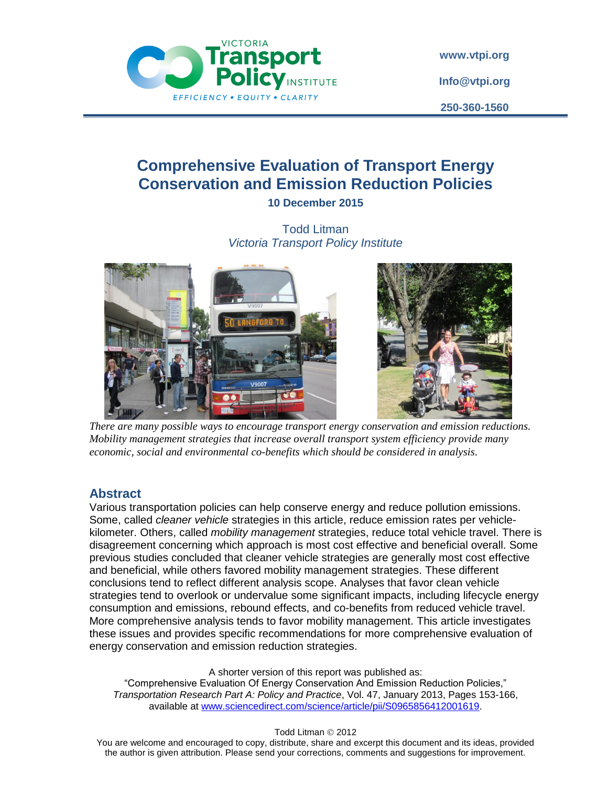

**[www.vtpi.org](http://www.vtpi.org/) [Info@vtpi.org](mailto:Info@vtpi.org)**

**250-360-1560**

# **Comprehensive Evaluation of Transport Energy Conservation and Emission Reduction Policies 10 December 2015**

Todd Litman *Victoria Transport Policy Institute*





*There are many possible ways to encourage transport energy conservation and emission reductions. Mobility management strategies that increase overall transport system efficiency provide many economic, social and environmental co-benefits which should be considered in analysis.*

## **Abstract**

Various transportation policies can help conserve energy and reduce pollution emissions. Some, called *cleaner vehicle* strategies in this article, reduce emission rates per vehiclekilometer. Others, called *mobility management* strategies, reduce total vehicle travel. There is disagreement concerning which approach is most cost effective and beneficial overall. Some previous studies concluded that cleaner vehicle strategies are generally most cost effective and beneficial, while others favored mobility management strategies. These different conclusions tend to reflect different analysis scope. Analyses that favor clean vehicle strategies tend to overlook or undervalue some significant impacts, including lifecycle energy consumption and emissions, rebound effects, and co-benefits from reduced vehicle travel. More comprehensive analysis tends to favor mobility management. This article investigates these issues and provides specific recommendations for more comprehensive evaluation of energy conservation and emission reduction strategies.

A shorter version of this report was published as:

"Comprehensive Evaluation Of Energy Conservation And Emission Reduction Policies," *[Transportation Research Part A: Policy and Practice](http://www.sciencedirect.com/science/journal/09658564)*, [Vol. 47,](http://www.sciencedirect.com/science/journal/09658564/47/supp/C) January 2013, Pages 153-166, available at [www.sciencedirect.com/science/article/pii/S0965856412001619.](http://www.sciencedirect.com/science/article/pii/S0965856412001619)

Todd Litman © 2012

You are welcome and encouraged to copy, distribute, share and excerpt this document and its ideas, provided the author is given attribution. Please send your corrections, comments and suggestions for improvement.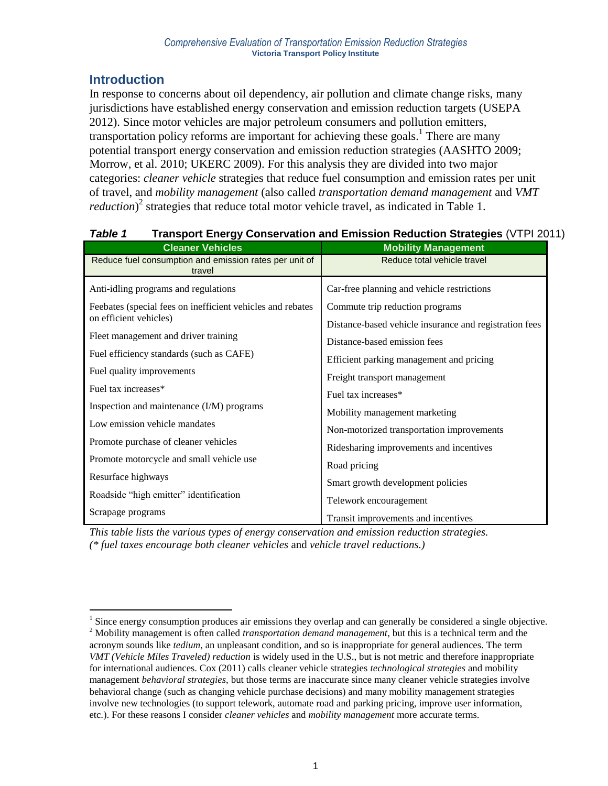## **Introduction**

 $\overline{a}$ 

In response to concerns about oil dependency, air pollution and climate change risks, many jurisdictions have established energy conservation and emission reduction targets (USEPA 2012). Since motor vehicles are major petroleum consumers and pollution emitters, transportation policy reforms are important for achieving these goals. 1 There are many potential transport energy conservation and emission reduction strategies (AASHTO 2009; Morrow, et al. 2010; UKERC 2009). For this analysis they are divided into two major categories: *cleaner vehicle* strategies that reduce fuel consumption and emission rates per unit of travel, and *mobility management* (also called *transportation demand management* and *VMT reduction*) 2 strategies that reduce total motor vehicle travel, as indicated in Table 1.

| <b>Cleaner Vehicles</b>                                          | <b>Mobility Management</b>                             |
|------------------------------------------------------------------|--------------------------------------------------------|
| Reduce fuel consumption and emission rates per unit of<br>travel | Reduce total vehicle travel                            |
| Anti-idling programs and regulations                             | Car-free planning and vehicle restrictions             |
| Feebates (special fees on inefficient vehicles and rebates)      | Commute trip reduction programs                        |
| on efficient vehicles)                                           | Distance-based vehicle insurance and registration fees |
| Fleet management and driver training                             | Distance-based emission fees                           |
| Fuel efficiency standards (such as CAFE)                         | Efficient parking management and pricing               |
| Fuel quality improvements                                        | Freight transport management                           |
| Fuel tax increases*                                              | Fuel tax increases*                                    |
| Inspection and maintenance (I/M) programs                        | Mobility management marketing                          |
| Low emission vehicle mandates                                    | Non-motorized transportation improvements              |
| Promote purchase of cleaner vehicles                             |                                                        |
| Promote motorcycle and small vehicle use                         | Ridesharing improvements and incentives                |
| Resurface highways                                               | Road pricing                                           |
| Roadside "high emitter" identification                           | Smart growth development policies                      |
|                                                                  | Telework encouragement                                 |
| Scrapage programs                                                | Transit improvements and incentives                    |

## *Table 1* **Transport Energy Conservation and Emission Reduction Strategies** (VTPI 2011)

*This table lists the various types of energy conservation and emission reduction strategies. (\* fuel taxes encourage both cleaner vehicles* and *vehicle travel reductions.)*

 $<sup>1</sup>$  Since energy consumption produces air emissions they overlap and can generally be considered a single objective.</sup>

<sup>2</sup> Mobility management is often called *transportation demand management*, but this is a technical term and the acronym sounds like *tedium*, an unpleasant condition, and so is inappropriate for general audiences. The term *VMT (Vehicle Miles Traveled) reduction* is widely used in the U.S., but is not metric and therefore inappropriate for international audiences. Cox (2011) calls cleaner vehicle strategies *technological strategies* and mobility management *behavioral strategies*, but those terms are inaccurate since many cleaner vehicle strategies involve behavioral change (such as changing vehicle purchase decisions) and many mobility management strategies involve new technologies (to support telework, automate road and parking pricing, improve user information, etc.). For these reasons I consider *cleaner vehicles* and *mobility management* more accurate terms.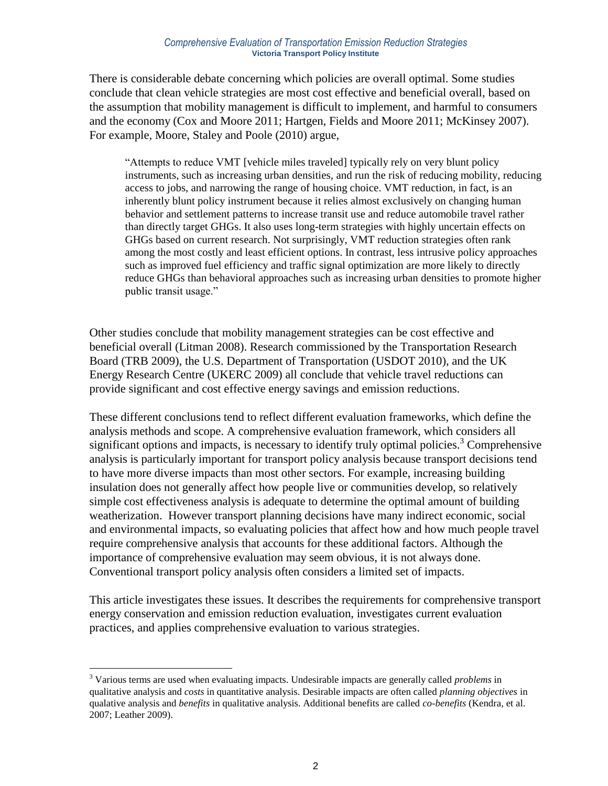#### *Comprehensive Evaluation of Transportation Emission Reduction Strategies* **Victoria Transport Policy Institute**

There is considerable debate concerning which policies are overall optimal. Some studies conclude that clean vehicle strategies are most cost effective and beneficial overall, based on the assumption that mobility management is difficult to implement, and harmful to consumers and the economy (Cox and Moore 2011; Hartgen, Fields and Moore 2011; McKinsey 2007). For example, Moore, Staley and Poole (2010) argue,

"Attempts to reduce VMT [vehicle miles traveled] typically rely on very blunt policy instruments, such as increasing urban densities, and run the risk of reducing mobility, reducing access to jobs, and narrowing the range of housing choice. VMT reduction, in fact, is an inherently blunt policy instrument because it relies almost exclusively on changing human behavior and settlement patterns to increase transit use and reduce automobile travel rather than directly target GHGs. It also uses long-term strategies with highly uncertain effects on GHGs based on current research. Not surprisingly, VMT reduction strategies often rank among the most costly and least efficient options. In contrast, less intrusive policy approaches such as improved fuel efficiency and traffic signal optimization are more likely to directly reduce GHGs than behavioral approaches such as increasing urban densities to promote higher public transit usage."

Other studies conclude that mobility management strategies can be cost effective and beneficial overall (Litman 2008). Research commissioned by the Transportation Research Board (TRB 2009), the U.S. Department of Transportation (USDOT 2010), and the UK Energy Research Centre (UKERC 2009) all conclude that vehicle travel reductions can provide significant and cost effective energy savings and emission reductions.

These different conclusions tend to reflect different evaluation frameworks, which define the analysis methods and scope. A comprehensive evaluation framework, which considers all significant options and impacts, is necessary to identify truly optimal policies.<sup>3</sup> Comprehensive analysis is particularly important for transport policy analysis because transport decisions tend to have more diverse impacts than most other sectors. For example, increasing building insulation does not generally affect how people live or communities develop, so relatively simple cost effectiveness analysis is adequate to determine the optimal amount of building weatherization. However transport planning decisions have many indirect economic, social and environmental impacts, so evaluating policies that affect how and how much people travel require comprehensive analysis that accounts for these additional factors. Although the importance of comprehensive evaluation may seem obvious, it is not always done. Conventional transport policy analysis often considers a limited set of impacts.

This article investigates these issues. It describes the requirements for comprehensive transport energy conservation and emission reduction evaluation, investigates current evaluation practices, and applies comprehensive evaluation to various strategies.

 $\overline{a}$ 

<sup>3</sup> Various terms are used when evaluating impacts. Undesirable impacts are generally called *problems* in qualitative analysis and *costs* in quantitative analysis. Desirable impacts are often called *planning objectives* in qualative analysis and *benefits* in qualitative analysis. Additional benefits are called *co-benefits* (Kendra, et al. 2007; Leather 2009).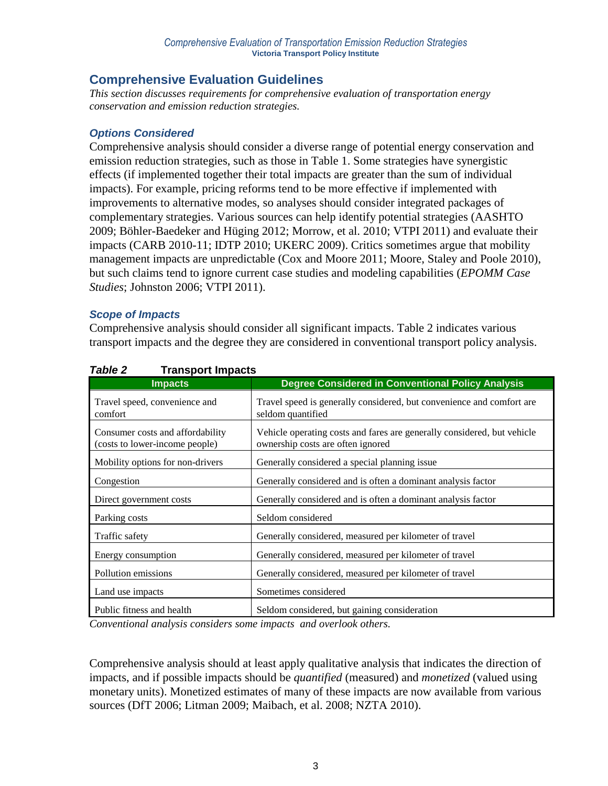## **Comprehensive Evaluation Guidelines**

*This section discusses requirements for comprehensive evaluation of transportation energy conservation and emission reduction strategies.*

### *Options Considered*

Comprehensive analysis should consider a diverse range of potential energy conservation and emission reduction strategies, such as those in Table 1. Some strategies have synergistic effects (if implemented together their total impacts are greater than the sum of individual impacts). For example, pricing reforms tend to be more effective if implemented with improvements to alternative modes, so analyses should consider integrated packages of complementary strategies. Various sources can help identify potential strategies (AASHTO 2009; Böhler-Baedeker and Hüging 2012; Morrow, et al. 2010; VTPI 2011) and evaluate their impacts (CARB 2010-11; IDTP 2010; UKERC 2009). Critics sometimes argue that mobility management impacts are unpredictable (Cox and Moore 2011; Moore, Staley and Poole 2010), but such claims tend to ignore current case studies and modeling capabilities (*EPOMM Case Studies*; Johnston 2006; VTPI 2011).

### *Scope of Impacts*

Comprehensive analysis should consider all significant impacts. Table 2 indicates various transport impacts and the degree they are considered in conventional transport policy analysis.

| rapie z<br>Fransport impacts                                       |                                                                                                              |
|--------------------------------------------------------------------|--------------------------------------------------------------------------------------------------------------|
| <b>Impacts</b>                                                     | <b>Degree Considered in Conventional Policy Analysis</b>                                                     |
| Travel speed, convenience and<br>comfort                           | Travel speed is generally considered, but convenience and comfort are<br>seldom quantified                   |
| Consumer costs and affordability<br>(costs to lower-income people) | Vehicle operating costs and fares are generally considered, but vehicle<br>ownership costs are often ignored |
| Mobility options for non-drivers                                   | Generally considered a special planning issue                                                                |
| Congestion                                                         | Generally considered and is often a dominant analysis factor                                                 |
| Direct government costs                                            | Generally considered and is often a dominant analysis factor                                                 |
| Parking costs                                                      | Seldom considered                                                                                            |
| Traffic safety                                                     | Generally considered, measured per kilometer of travel                                                       |
| Energy consumption                                                 | Generally considered, measured per kilometer of travel                                                       |
| Pollution emissions                                                | Generally considered, measured per kilometer of travel                                                       |
| Land use impacts                                                   | Sometimes considered                                                                                         |
| Public fitness and health                                          | Seldom considered, but gaining consideration                                                                 |

## *Table 2* **Transport Impacts**

*Conventional analysis considers some impacts and overlook others.*

Comprehensive analysis should at least apply qualitative analysis that indicates the direction of impacts, and if possible impacts should be *quantified* (measured) and *monetized* (valued using monetary units). Monetized estimates of many of these impacts are now available from various sources (DfT 2006; Litman 2009; Maibach, et al. 2008; NZTA 2010).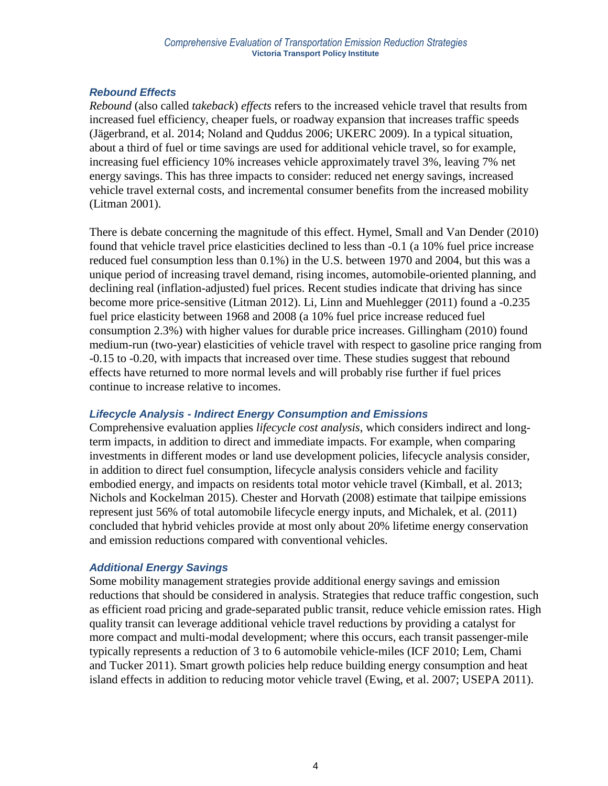## *Rebound Effects*

*Rebound* (also called *takeback*) *effects* refers to the increased vehicle travel that results from increased fuel efficiency, cheaper fuels, or roadway expansion that increases traffic speeds (Jägerbrand, et al. 2014; Noland and Quddus 2006; UKERC 2009). In a typical situation, about a third of fuel or time savings are used for additional vehicle travel, so for example, increasing fuel efficiency 10% increases vehicle approximately travel 3%, leaving 7% net energy savings. This has three impacts to consider: reduced net energy savings, increased vehicle travel external costs, and incremental consumer benefits from the increased mobility (Litman 2001).

There is debate concerning the magnitude of this effect. Hymel, Small and Van Dender (2010) found that vehicle travel price elasticities declined to less than -0.1 (a 10% fuel price increase reduced fuel consumption less than 0.1%) in the U.S. between 1970 and 2004, but this was a unique period of increasing travel demand, rising incomes, automobile-oriented planning, and declining real (inflation-adjusted) fuel prices. Recent studies indicate that driving has since become more price-sensitive (Litman 2012). Li, Linn and Muehlegger (2011) found a -0.235 fuel price elasticity between 1968 and 2008 (a 10% fuel price increase reduced fuel consumption 2.3%) with higher values for durable price increases. Gillingham (2010) found medium-run (two-year) elasticities of vehicle travel with respect to gasoline price ranging from -0.15 to -0.20, with impacts that increased over time. These studies suggest that rebound effects have returned to more normal levels and will probably rise further if fuel prices continue to increase relative to incomes.

### *Lifecycle Analysis - Indirect Energy Consumption and Emissions*

Comprehensive evaluation applies *lifecycle cost analysis*, which considers indirect and longterm impacts, in addition to direct and immediate impacts. For example, when comparing investments in different modes or land use development policies, lifecycle analysis consider, in addition to direct fuel consumption, lifecycle analysis considers vehicle and facility embodied energy, and impacts on residents total motor vehicle travel (Kimball, et al. 2013; Nichols and Kockelman 2015). Chester and Horvath (2008) estimate that tailpipe emissions represent just 56% of total automobile lifecycle energy inputs, and Michalek, et al. (2011) concluded that hybrid vehicles provide at most only about 20% lifetime energy conservation and emission reductions compared with conventional vehicles.

## *Additional Energy Savings*

Some mobility management strategies provide additional energy savings and emission reductions that should be considered in analysis. Strategies that reduce traffic congestion, such as efficient road pricing and grade-separated public transit, reduce vehicle emission rates. High quality transit can leverage additional vehicle travel reductions by providing a catalyst for more compact and multi-modal development; where this occurs, each transit passenger-mile typically represents a reduction of 3 to 6 automobile vehicle-miles (ICF 2010; Lem, Chami and Tucker 2011). Smart growth policies help reduce building energy consumption and heat island effects in addition to reducing motor vehicle travel (Ewing, et al. 2007; USEPA 2011).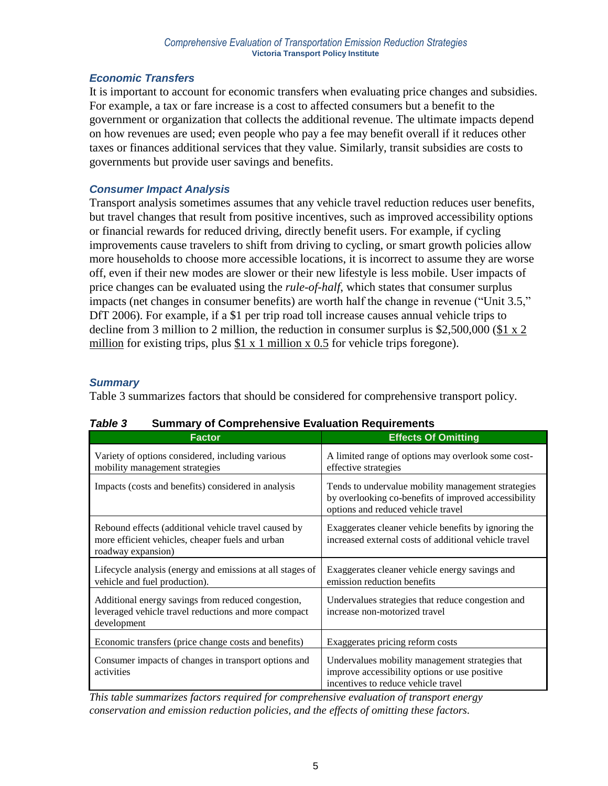## *Economic Transfers*

It is important to account for economic transfers when evaluating price changes and subsidies. For example, a tax or fare increase is a cost to affected consumers but a benefit to the government or organization that collects the additional revenue. The ultimate impacts depend on how revenues are used; even people who pay a fee may benefit overall if it reduces other taxes or finances additional services that they value. Similarly, transit subsidies are costs to governments but provide user savings and benefits.

## *Consumer Impact Analysis*

Transport analysis sometimes assumes that any vehicle travel reduction reduces user benefits, but travel changes that result from positive incentives, such as improved accessibility options or financial rewards for reduced driving, directly benefit users. For example, if cycling improvements cause travelers to shift from driving to cycling, or smart growth policies allow more households to choose more accessible locations, it is incorrect to assume they are worse off, even if their new modes are slower or their new lifestyle is less mobile. User impacts of price changes can be evaluated using the *rule-of-half*, which states that consumer surplus impacts (net changes in consumer benefits) are worth half the change in revenue ("Unit 3.5," DfT 2006). For example, if a \$1 per trip road toll increase causes annual vehicle trips to decline from 3 million to 2 million, the reduction in consumer surplus is \$2,500,000 (\$1 x 2 million for existing trips, plus  $$1 \times 1$  million  $\times 0.5$  for vehicle trips foregone).

## *Summary*

Table 3 summarizes factors that should be considered for comprehensive transport policy.

| <b>Factor</b>                                                                                                                  | <b>Effects Of Omitting</b>                                                                                                                       |
|--------------------------------------------------------------------------------------------------------------------------------|--------------------------------------------------------------------------------------------------------------------------------------------------|
| Variety of options considered, including various<br>mobility management strategies                                             | A limited range of options may overlook some cost-<br>effective strategies                                                                       |
| Impacts (costs and benefits) considered in analysis                                                                            | Tends to undervalue mobility management strategies<br>by overlooking co-benefits of improved accessibility<br>options and reduced vehicle travel |
| Rebound effects (additional vehicle travel caused by<br>more efficient vehicles, cheaper fuels and urban<br>roadway expansion) | Exaggerates cleaner vehicle benefits by ignoring the<br>increased external costs of additional vehicle travel                                    |
| Lifecycle analysis (energy and emissions at all stages of<br>vehicle and fuel production).                                     | Exaggerates cleaner vehicle energy savings and<br>emission reduction benefits                                                                    |
| Additional energy savings from reduced congestion,<br>leveraged vehicle travel reductions and more compact<br>development      | Undervalues strategies that reduce congestion and<br>increase non-motorized travel                                                               |
| Economic transfers (price change costs and benefits)                                                                           | Exaggerates pricing reform costs                                                                                                                 |
| Consumer impacts of changes in transport options and<br>activities                                                             | Undervalues mobility management strategies that<br>improve accessibility options or use positive<br>incentives to reduce vehicle travel          |

### *Table 3* **Summary of Comprehensive Evaluation Requirements**

*This table summarizes factors required for comprehensive evaluation of transport energy conservation and emission reduction policies, and the effects of omitting these factors.*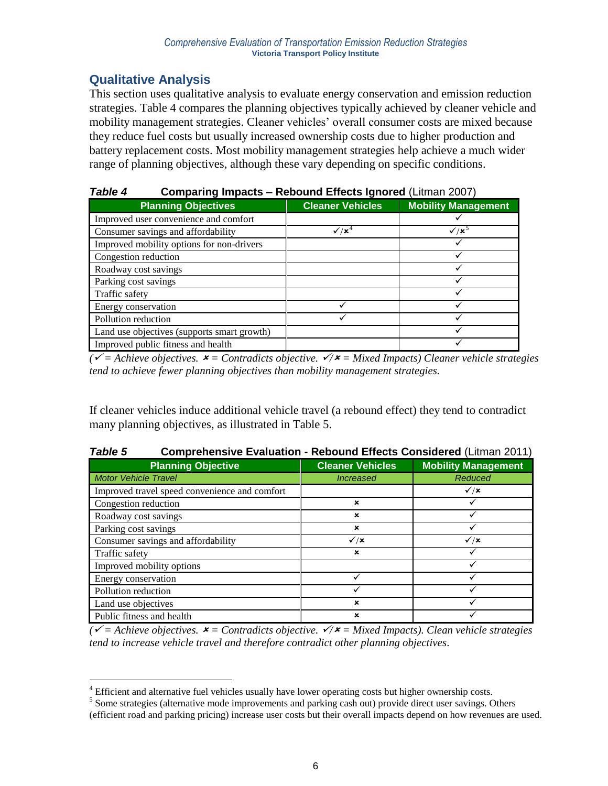## **Qualitative Analysis**

 $\overline{a}$ 

This section uses qualitative analysis to evaluate energy conservation and emission reduction strategies. Table 4 compares the planning objectives typically achieved by cleaner vehicle and mobility management strategies. Cleaner vehicles' overall consumer costs are mixed because they reduce fuel costs but usually increased ownership costs due to higher production and battery replacement costs. Most mobility management strategies help achieve a much wider range of planning objectives, although these vary depending on specific conditions.

| i abie 4<br>Comparing Impacts – Rebound Effects Ignored (Litman 2007) |                               |                            |  |
|-----------------------------------------------------------------------|-------------------------------|----------------------------|--|
| <b>Planning Objectives</b>                                            | <b>Cleaner Vehicles</b>       | <b>Mobility Management</b> |  |
| Improved user convenience and comfort                                 |                               |                            |  |
| Consumer savings and affordability                                    | $\checkmark$ / $\mathsf{x}^4$ | $\sqrt{x^5}$               |  |
| Improved mobility options for non-drivers                             |                               |                            |  |
| Congestion reduction                                                  |                               |                            |  |
| Roadway cost savings                                                  |                               |                            |  |
| Parking cost savings                                                  |                               |                            |  |
| Traffic safety                                                        |                               |                            |  |
| Energy conservation                                                   |                               |                            |  |
| Pollution reduction                                                   |                               |                            |  |
| Land use objectives (supports smart growth)                           |                               |                            |  |
| Improved public fitness and health                                    |                               |                            |  |

### *Table 4* **Comparing Impacts – Rebound Effects Ignored** (Litman 2007)

 $\vec{r}$  *(* $\vec{r}$  = Achieve objectives.  $\vec{r}$  = Contradicts objective.  $\vec{r}$   $\vec{r}$  = Mixed Impacts) Cleaner vehicle strategies *tend to achieve fewer planning objectives than mobility management strategies.* 

If cleaner vehicles induce additional vehicle travel (a rebound effect) they tend to contradict many planning objectives, as illustrated in Table 5.

| i abie o<br>Comprenensive Evaluation - Repound Effects Considered (Litinal) 2011) |                         |                             |  |  |  |
|-----------------------------------------------------------------------------------|-------------------------|-----------------------------|--|--|--|
| <b>Planning Objective</b>                                                         | <b>Cleaner Vehicles</b> | <b>Mobility Management</b>  |  |  |  |
| <b>Motor Vehicle Travel</b>                                                       | <i><b>Increased</b></i> | Reduced                     |  |  |  |
| Improved travel speed convenience and comfort                                     |                         | $\checkmark$ / $\checkmark$ |  |  |  |
| Congestion reduction                                                              | $\mathbf x$             |                             |  |  |  |
| Roadway cost savings                                                              | $\mathbf x$             |                             |  |  |  |
| Parking cost savings                                                              | ×                       |                             |  |  |  |
| Consumer savings and affordability                                                | $\checkmark$ / $\times$ | $\checkmark$ / $\times$     |  |  |  |
| Traffic safety                                                                    | ×                       |                             |  |  |  |
| Improved mobility options                                                         |                         |                             |  |  |  |
| Energy conservation                                                               |                         |                             |  |  |  |
| Pollution reduction                                                               |                         |                             |  |  |  |
| Land use objectives                                                               | $\mathbf x$             |                             |  |  |  |
| Public fitness and health                                                         | ×                       |                             |  |  |  |

## *Table 5* **Comprehensive Evaluation - Rebound Effects Considered** (Litman 2011)

*( = Achieve objectives. = Contradicts objective. / = Mixed Impacts). Clean vehicle strategies tend to increase vehicle travel and therefore contradict other planning objectives.* 

<sup>&</sup>lt;sup>4</sup> Efficient and alternative fuel vehicles usually have lower operating costs but higher ownership costs.

<sup>&</sup>lt;sup>5</sup> Some strategies (alternative mode improvements and parking cash out) provide direct user savings. Others

<sup>(</sup>efficient road and parking pricing) increase user costs but their overall impacts depend on how revenues are used.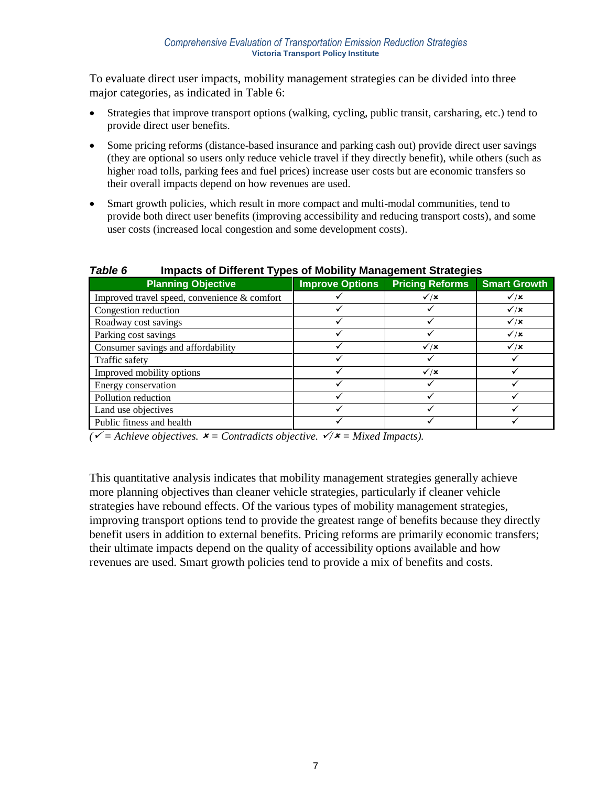To evaluate direct user impacts, mobility management strategies can be divided into three major categories, as indicated in Table 6:

- Strategies that improve transport options (walking, cycling, public transit, carsharing, etc.) tend to provide direct user benefits.
- Some pricing reforms (distance-based insurance and parking cash out) provide direct user savings (they are optional so users only reduce vehicle travel if they directly benefit), while others (such as higher road tolls, parking fees and fuel prices) increase user costs but are economic transfers so their overall impacts depend on how revenues are used.
- Smart growth policies, which result in more compact and multi-modal communities, tend to provide both direct user benefits (improving accessibility and reducing transport costs), and some user costs (increased local congestion and some development costs).

| i unic v<br>mpacts of Different Types of mobility management ou ategres |                        |                             |                             |  |
|-------------------------------------------------------------------------|------------------------|-----------------------------|-----------------------------|--|
| <b>Planning Objective</b>                                               | <b>Improve Options</b> | <b>Pricing Reforms</b>      | <b>Smart Growth</b>         |  |
| Improved travel speed, convenience & comfort                            |                        | $\checkmark$ / $\checkmark$ | $\checkmark$ / $\times$     |  |
| Congestion reduction                                                    |                        |                             | $\checkmark$ / $\checkmark$ |  |
| Roadway cost savings                                                    |                        |                             | $\checkmark$ / $\times$     |  |
| Parking cost savings                                                    |                        |                             | $\sqrt{x}$                  |  |
| Consumer savings and affordability                                      |                        | $\checkmark$ / $\checkmark$ | $\checkmark$ / $\checkmark$ |  |
| Traffic safety                                                          |                        |                             |                             |  |
| Improved mobility options                                               |                        | $\checkmark$ / $\checkmark$ |                             |  |
| Energy conservation                                                     |                        |                             |                             |  |
| Pollution reduction                                                     |                        |                             |                             |  |
| Land use objectives                                                     |                        |                             |                             |  |
| Public fitness and health                                               |                        |                             |                             |  |

### *Table 6* **Impacts of Different Types of Mobility Management Strategies**

 $\mathbf{v}' =$  Achieve objectives.  $\mathbf{x} =$  Contradicts objective.  $\mathbf{v}/\mathbf{x} =$  Mixed Impacts).

This quantitative analysis indicates that mobility management strategies generally achieve more planning objectives than cleaner vehicle strategies, particularly if cleaner vehicle strategies have rebound effects. Of the various types of mobility management strategies, improving transport options tend to provide the greatest range of benefits because they directly benefit users in addition to external benefits. Pricing reforms are primarily economic transfers; their ultimate impacts depend on the quality of accessibility options available and how revenues are used. Smart growth policies tend to provide a mix of benefits and costs.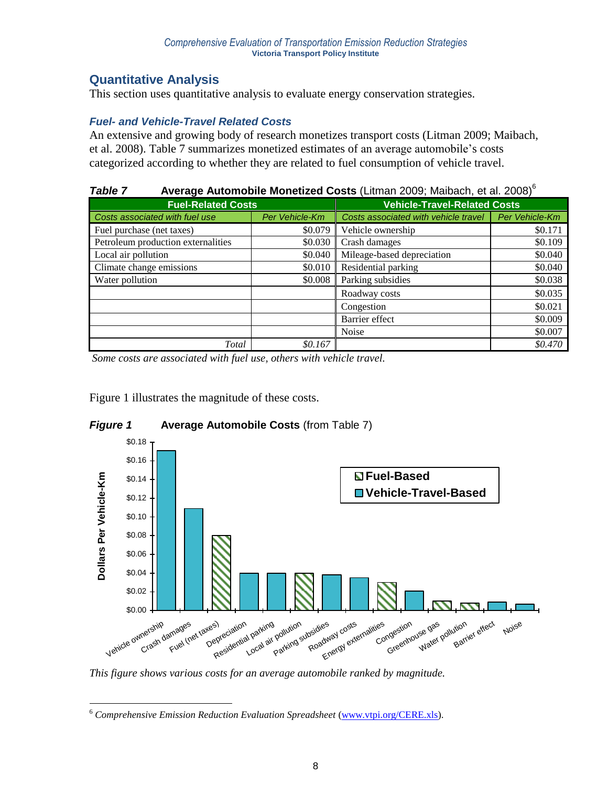## **Quantitative Analysis**

This section uses quantitative analysis to evaluate energy conservation strategies.

## *Fuel- and Vehicle-Travel Related Costs*

An extensive and growing body of research monetizes transport costs (Litman 2009; Maibach, et al. 2008). Table 7 summarizes monetized estimates of an average automobile's costs categorized according to whether they are related to fuel consumption of vehicle travel.

## *Table 7* **Average Automobile Monetized Costs** (Litman 2009; Maibach, et al. 2008) 6

|                                    | <b>Fuel-Related Costs</b> |                                      | <b>Vehicle-Travel-Related Costs</b> |
|------------------------------------|---------------------------|--------------------------------------|-------------------------------------|
| Costs associated with fuel use     | Per Vehicle-Km            | Costs associated with vehicle travel | Per Vehicle-Km                      |
| Fuel purchase (net taxes)          | \$0.079                   | Vehicle ownership                    | \$0.171                             |
| Petroleum production externalities | \$0.030                   | Crash damages                        | \$0.109                             |
| Local air pollution                | \$0.040                   | Mileage-based depreciation           | \$0.040                             |
| Climate change emissions           | \$0.010                   | Residential parking                  | \$0.040                             |
| Water pollution                    | \$0.008                   | Parking subsidies                    | \$0.038                             |
|                                    |                           | Roadway costs                        | \$0.035                             |
|                                    |                           | Congestion                           | \$0.021                             |
|                                    |                           | Barrier effect                       | \$0.009                             |
|                                    |                           | Noise                                | \$0.007                             |
| Total                              | \$0.167                   |                                      | \$0.470                             |

*Some costs are associated with fuel use, others with vehicle travel.*

Figure 1 illustrates the magnitude of these costs.

 $\overline{a}$ 



## *Figure 1* **Average Automobile Costs** (from Table 7)

*This figure shows various costs for an average automobile ranked by magnitude.*

<sup>6</sup> *Comprehensive Emission Reduction Evaluation Spreadsheet* [\(www.vtpi.org/CERE.xls\)](http://www.vtpi.org/CERE.xls).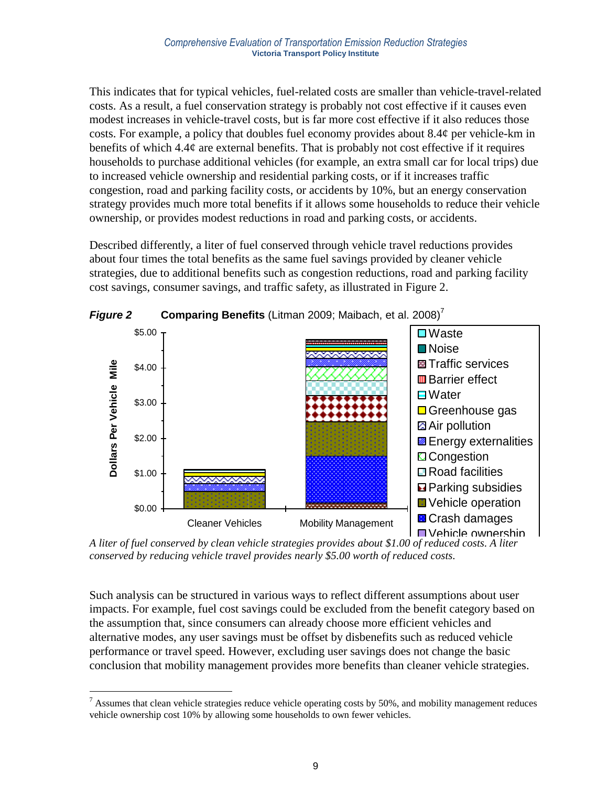This indicates that for typical vehicles, fuel-related costs are smaller than vehicle-travel-related costs. As a result, a fuel conservation strategy is probably not cost effective if it causes even modest increases in vehicle-travel costs, but is far more cost effective if it also reduces those costs. For example, a policy that doubles fuel economy provides about 8.4¢ per vehicle-km in benefits of which 4.4¢ are external benefits. That is probably not cost effective if it requires households to purchase additional vehicles (for example, an extra small car for local trips) due to increased vehicle ownership and residential parking costs, or if it increases traffic congestion, road and parking facility costs, or accidents by 10%, but an energy conservation strategy provides much more total benefits if it allows some households to reduce their vehicle ownership, or provides modest reductions in road and parking costs, or accidents.

Described differently, a liter of fuel conserved through vehicle travel reductions provides about four times the total benefits as the same fuel savings provided by cleaner vehicle strategies, due to additional benefits such as congestion reductions, road and parking facility cost savings, consumer savings, and traffic safety, as illustrated in Figure 2.



*Figure 2* **Comparing Benefits** (Litman 2009; Maibach, et al. 2008) 7

*A liter of fuel conserved by clean vehicle strategies provides about \$1.00 of reduced costs. A liter conserved by reducing vehicle travel provides nearly \$5.00 worth of reduced costs.*

Such analysis can be structured in various ways to reflect different assumptions about user impacts. For example, fuel cost savings could be excluded from the benefit category based on the assumption that, since consumers can already choose more efficient vehicles and alternative modes, any user savings must be offset by disbenefits such as reduced vehicle performance or travel speed. However, excluding user savings does not change the basic conclusion that mobility management provides more benefits than cleaner vehicle strategies.

 $\overline{a}$  $<sup>7</sup>$  Assumes that clean vehicle strategies reduce vehicle operating costs by 50%, and mobility management reduces</sup> vehicle ownership cost 10% by allowing some households to own fewer vehicles.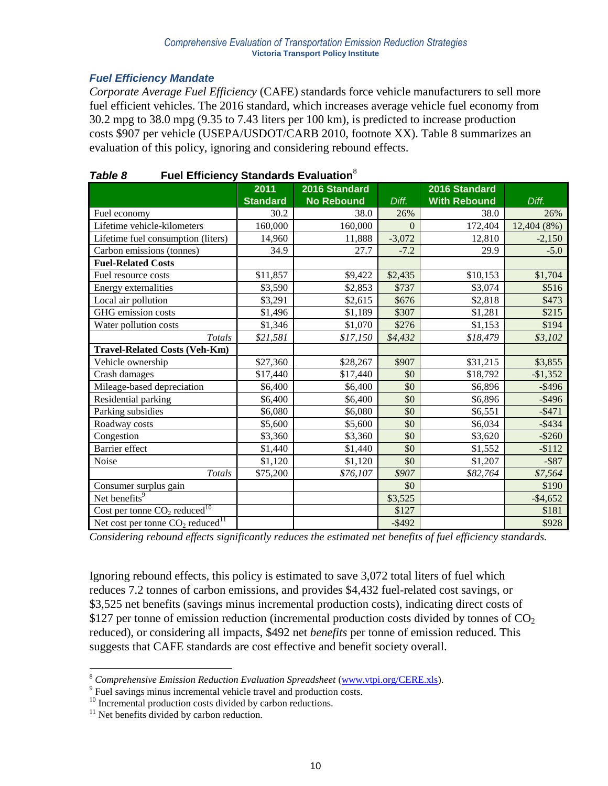## *Fuel Efficiency Mandate*

*Corporate Average Fuel Efficiency* (CAFE) standards force vehicle manufacturers to sell more fuel efficient vehicles. The 2016 standard, which increases average vehicle fuel economy from 30.2 mpg to 38.0 mpg (9.35 to 7.43 liters per 100 km), is predicted to increase production costs \$907 per vehicle (USEPA/USDOT/CARB 2010, footnote XX). Table 8 summarizes an evaluation of this policy, ignoring and considering rebound effects.

|                                                 | 2011            | 2016 Standard     |           | 2016 Standard       |             |
|-------------------------------------------------|-----------------|-------------------|-----------|---------------------|-------------|
|                                                 | <b>Standard</b> | <b>No Rebound</b> | Diff.     | <b>With Rebound</b> | Diff.       |
| Fuel economy                                    | 30.2            | 38.0              | 26%       | 38.0                | 26%         |
| Lifetime vehicle-kilometers                     | 160,000         | 160,000           | $\Omega$  | 172,404             | 12,404 (8%) |
| Lifetime fuel consumption (liters)              | 14,960          | 11,888            | $-3,072$  | 12,810              | $-2,150$    |
| Carbon emissions (tonnes)                       | 34.9            | 27.7              | $-7.2$    | 29.9                | $-5.0$      |
| <b>Fuel-Related Costs</b>                       |                 |                   |           |                     |             |
| Fuel resource costs                             | \$11,857        | \$9,422           | \$2,435   | \$10,153            | \$1,704     |
| Energy externalities                            | \$3,590         | \$2,853           | \$737     | \$3,074             | \$516       |
| Local air pollution                             | \$3,291         | \$2,615           | \$676     | \$2,818             | \$473       |
| GHG emission costs                              | \$1,496         | \$1,189           | \$307     | \$1,281             | \$215       |
| Water pollution costs                           | \$1,346         | \$1,070           | \$276     | \$1,153             | \$194       |
| <b>Totals</b>                                   | \$21,581        | \$17,150          | \$4,432   | \$18,479            | \$3,102     |
| <b>Travel-Related Costs (Veh-Km)</b>            |                 |                   |           |                     |             |
| Vehicle ownership                               | \$27,360        | \$28,267          | \$907     | \$31,215            | \$3,855     |
| Crash damages                                   | \$17,440        | \$17,440          | \$0       | \$18,792            | $-$ \$1,352 |
| Mileage-based depreciation                      | \$6,400         | \$6,400           | \$0       | \$6,896             | $-$ \$496   |
| Residential parking                             | \$6,400         | \$6,400           | \$0       | \$6,896             | $-$ \$496   |
| Parking subsidies                               | \$6,080         | \$6,080           | \$0       | \$6,551             | $-$ \$471   |
| Roadway costs                                   | \$5,600         | \$5,600           | \$0       | \$6,034             | $-$ \$434   |
| Congestion                                      | \$3,360         | \$3,360           | \$0       | \$3,620             | $-$ \$260   |
| Barrier effect                                  | \$1,440         | \$1,440           | \$0       | \$1,552             | $-$112$     |
| Noise                                           | \$1,120         | \$1,120           | \$0       | \$1,207             | $-$ \$87    |
| <b>Totals</b>                                   | \$75,200        | \$76,107          | \$907     | \$82,764            | \$7,564     |
| Consumer surplus gain                           |                 |                   | \$0       |                     | \$190       |
| Net benefits <sup>9</sup>                       |                 |                   | \$3,525   |                     | $-$ \$4,652 |
| Cost per tonne $CO_2$ reduced <sup>10</sup>     |                 |                   | \$127     |                     | \$181       |
| Net cost per tonne $CO_2$ reduced <sup>11</sup> |                 |                   | $-$ \$492 |                     | \$928       |

| Table 8 | <b>Fuel Efficiency Standards Evaluation</b> <sup>8</sup> |  |
|---------|----------------------------------------------------------|--|
|         |                                                          |  |

*Considering rebound effects significantly reduces the estimated net benefits of fuel efficiency standards.*

Ignoring rebound effects, this policy is estimated to save 3,072 total liters of fuel which reduces 7.2 tonnes of carbon emissions, and provides \$4,432 fuel-related cost savings, or \$3,525 net benefits (savings minus incremental production costs), indicating direct costs of \$127 per tonne of emission reduction (incremental production costs divided by tonnes of  $CO<sub>2</sub>$ reduced), or considering all impacts, \$492 net *benefits* per tonne of emission reduced. This suggests that CAFE standards are cost effective and benefit society overall.

 $\overline{a}$ 

<sup>8</sup> *Comprehensive Emission Reduction Evaluation Spreadsheet* [\(www.vtpi.org/CERE.xls\)](http://www.vtpi.org/CERE.xls).

<sup>&</sup>lt;sup>9</sup> Fuel savings minus incremental vehicle travel and production costs.

<sup>&</sup>lt;sup>10</sup> Incremental production costs divided by carbon reductions.

 $11$  Net benefits divided by carbon reduction.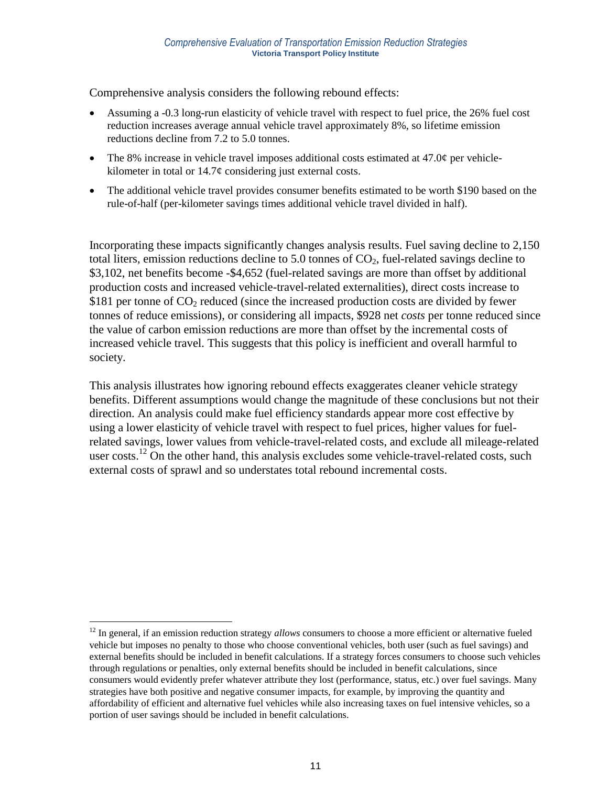Comprehensive analysis considers the following rebound effects:

- Assuming a -0.3 long-run elasticity of vehicle travel with respect to fuel price, the 26% fuel cost reduction increases average annual vehicle travel approximately 8%, so lifetime emission reductions decline from 7.2 to 5.0 tonnes.
- The 8% increase in vehicle travel imposes additional costs estimated at 47.0¢ per vehiclekilometer in total or  $14.7\phi$  considering just external costs.
- The additional vehicle travel provides consumer benefits estimated to be worth \$190 based on the rule-of-half (per-kilometer savings times additional vehicle travel divided in half).

Incorporating these impacts significantly changes analysis results. Fuel saving decline to 2,150 total liters, emission reductions decline to 5.0 tonnes of  $CO<sub>2</sub>$ , fuel-related savings decline to \$3,102, net benefits become -\$4,652 (fuel-related savings are more than offset by additional production costs and increased vehicle-travel-related externalities), direct costs increase to \$181 per tonne of  $CO<sub>2</sub>$  reduced (since the increased production costs are divided by fewer tonnes of reduce emissions), or considering all impacts, \$928 net *costs* per tonne reduced since the value of carbon emission reductions are more than offset by the incremental costs of increased vehicle travel. This suggests that this policy is inefficient and overall harmful to society.

This analysis illustrates how ignoring rebound effects exaggerates cleaner vehicle strategy benefits. Different assumptions would change the magnitude of these conclusions but not their direction. An analysis could make fuel efficiency standards appear more cost effective by using a lower elasticity of vehicle travel with respect to fuel prices, higher values for fuelrelated savings, lower values from vehicle-travel-related costs, and exclude all mileage-related user costs.<sup>12</sup> On the other hand, this analysis excludes some vehicle-travel-related costs, such external costs of sprawl and so understates total rebound incremental costs.

 $\overline{a}$ 

<sup>&</sup>lt;sup>12</sup> In general, if an emission reduction strategy *allows* consumers to choose a more efficient or alternative fueled vehicle but imposes no penalty to those who choose conventional vehicles, both user (such as fuel savings) and external benefits should be included in benefit calculations. If a strategy forces consumers to choose such vehicles through regulations or penalties, only external benefits should be included in benefit calculations, since consumers would evidently prefer whatever attribute they lost (performance, status, etc.) over fuel savings. Many strategies have both positive and negative consumer impacts, for example, by improving the quantity and affordability of efficient and alternative fuel vehicles while also increasing taxes on fuel intensive vehicles, so a portion of user savings should be included in benefit calculations.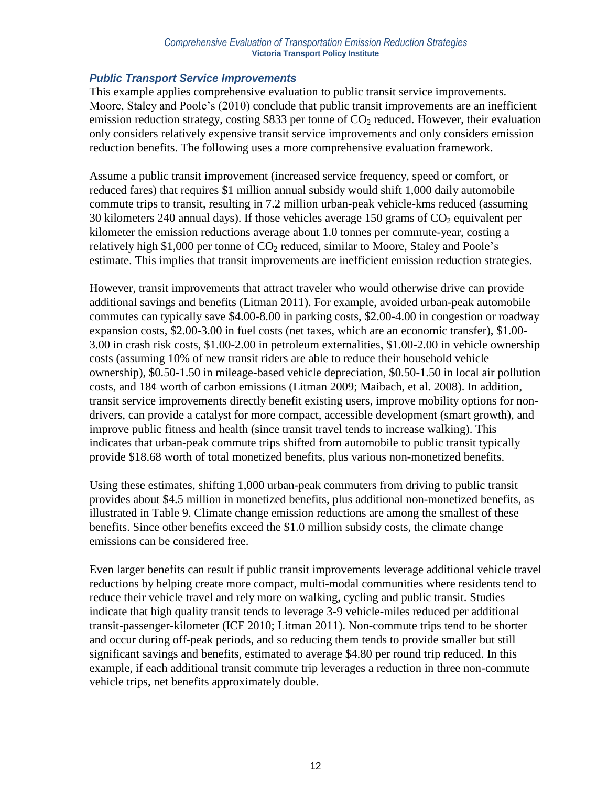#### *Comprehensive Evaluation of Transportation Emission Reduction Strategies* **Victoria Transport Policy Institute**

### *Public Transport Service Improvements*

This example applies comprehensive evaluation to public transit service improvements. Moore, Staley and Poole's (2010) conclude that public transit improvements are an inefficient emission reduction strategy, costing \$833 per tonne of  $CO<sub>2</sub>$  reduced. However, their evaluation only considers relatively expensive transit service improvements and only considers emission reduction benefits. The following uses a more comprehensive evaluation framework.

Assume a public transit improvement (increased service frequency, speed or comfort, or reduced fares) that requires \$1 million annual subsidy would shift 1,000 daily automobile commute trips to transit, resulting in 7.2 million urban-peak vehicle-kms reduced (assuming 30 kilometers 240 annual days). If those vehicles average 150 grams of  $CO<sub>2</sub>$  equivalent per kilometer the emission reductions average about 1.0 tonnes per commute-year, costing a relatively high \$1,000 per tonne of  $CO<sub>2</sub>$  reduced, similar to Moore, Staley and Poole's estimate. This implies that transit improvements are inefficient emission reduction strategies.

However, transit improvements that attract traveler who would otherwise drive can provide additional savings and benefits (Litman 2011). For example, avoided urban-peak automobile commutes can typically save \$4.00-8.00 in parking costs, \$2.00-4.00 in congestion or roadway expansion costs, \$2.00-3.00 in fuel costs (net taxes, which are an economic transfer), \$1.00- 3.00 in crash risk costs, \$1.00-2.00 in petroleum externalities, \$1.00-2.00 in vehicle ownership costs (assuming 10% of new transit riders are able to reduce their household vehicle ownership), \$0.50-1.50 in mileage-based vehicle depreciation, \$0.50-1.50 in local air pollution costs, and 18¢ worth of carbon emissions (Litman 2009; Maibach, et al. 2008). In addition, transit service improvements directly benefit existing users, improve mobility options for nondrivers, can provide a catalyst for more compact, accessible development (smart growth), and improve public fitness and health (since transit travel tends to increase walking). This indicates that urban-peak commute trips shifted from automobile to public transit typically provide \$18.68 worth of total monetized benefits, plus various non-monetized benefits.

Using these estimates, shifting 1,000 urban-peak commuters from driving to public transit provides about \$4.5 million in monetized benefits, plus additional non-monetized benefits, as illustrated in Table 9. Climate change emission reductions are among the smallest of these benefits. Since other benefits exceed the \$1.0 million subsidy costs, the climate change emissions can be considered free.

Even larger benefits can result if public transit improvements leverage additional vehicle travel reductions by helping create more compact, multi-modal communities where residents tend to reduce their vehicle travel and rely more on walking, cycling and public transit. Studies indicate that high quality transit tends to leverage 3-9 vehicle-miles reduced per additional transit-passenger-kilometer (ICF 2010; Litman 2011). Non-commute trips tend to be shorter and occur during off-peak periods, and so reducing them tends to provide smaller but still significant savings and benefits, estimated to average \$4.80 per round trip reduced. In this example, if each additional transit commute trip leverages a reduction in three non-commute vehicle trips, net benefits approximately double.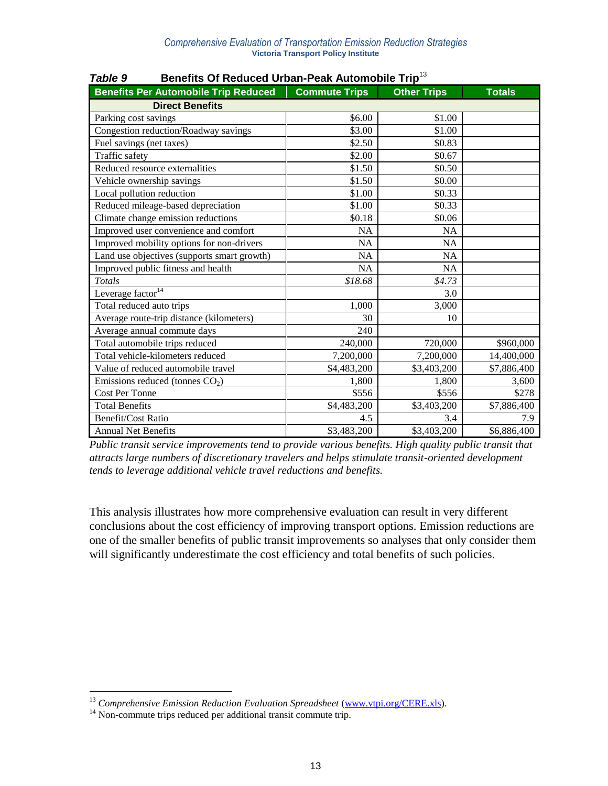| <b>Benefits Per Automobile Trip Reduced</b> | <b>Commute Trips</b> | <b>Other Trips</b> | <b>Totals</b> |
|---------------------------------------------|----------------------|--------------------|---------------|
| <b>Direct Benefits</b>                      |                      |                    |               |
| Parking cost savings                        | \$6.00               | \$1.00             |               |
| Congestion reduction/Roadway savings        | \$3.00               | \$1.00             |               |
| Fuel savings (net taxes)                    | \$2.50               | \$0.83             |               |
| Traffic safety                              | \$2.00               | \$0.67             |               |
| Reduced resource externalities              | \$1.50               | \$0.50             |               |
| Vehicle ownership savings                   | \$1.50               | \$0.00             |               |
| Local pollution reduction                   | \$1.00               | \$0.33             |               |
| Reduced mileage-based depreciation          | \$1.00               | \$0.33             |               |
| Climate change emission reductions          | \$0.18               | \$0.06             |               |
| Improved user convenience and comfort       | <b>NA</b>            | <b>NA</b>          |               |
| Improved mobility options for non-drivers   | <b>NA</b>            | <b>NA</b>          |               |
| Land use objectives (supports smart growth) | <b>NA</b>            | <b>NA</b>          |               |
| Improved public fitness and health          | NA                   | NA                 |               |
| Totals                                      | \$18.68              | \$4.73             |               |
| Leverage factor <sup>14</sup>               |                      | 3.0                |               |
| Total reduced auto trips                    | 1,000                | 3,000              |               |
| Average route-trip distance (kilometers)    | 30                   | 10                 |               |
| Average annual commute days                 | 240                  |                    |               |
| Total automobile trips reduced              | 240,000              | 720,000            | \$960,000     |
| Total vehicle-kilometers reduced            | 7,200,000            | 7,200,000          | 14,400,000    |
| Value of reduced automobile travel          | \$4,483,200          | \$3,403,200        | \$7,886,400   |
| Emissions reduced (tonnes $CO2$ )           | 1,800                | 1,800              | 3,600         |
| <b>Cost Per Tonne</b>                       | \$556                | \$556              | \$278         |
| <b>Total Benefits</b>                       | \$4,483,200          | \$3,403,200        | \$7,886,400   |
| <b>Benefit/Cost Ratio</b>                   | 4.5                  | 3.4                | 7.9           |
| <b>Annual Net Benefits</b>                  | \$3,483,200          | \$3,403,200        | \$6,886,400   |

*Table 9* **Benefits Of Reduced Urban-Peak Automobile Trip**<sup>13</sup>

*Public transit service improvements tend to provide various benefits. High quality public transit that attracts large numbers of discretionary travelers and helps stimulate transit-oriented development tends to leverage additional vehicle travel reductions and benefits.*

This analysis illustrates how more comprehensive evaluation can result in very different conclusions about the cost efficiency of improving transport options. Emission reductions are one of the smaller benefits of public transit improvements so analyses that only consider them will significantly underestimate the cost efficiency and total benefits of such policies.

 $\overline{a}$ 

<sup>&</sup>lt;sup>13</sup> Comprehensive Emission Reduction Evaluation Spreadsheet [\(www.vtpi.org/CERE.xls\)](http://www.vtpi.org/CERE.xls).

<sup>&</sup>lt;sup>14</sup> Non-commute trips reduced per additional transit commute trip.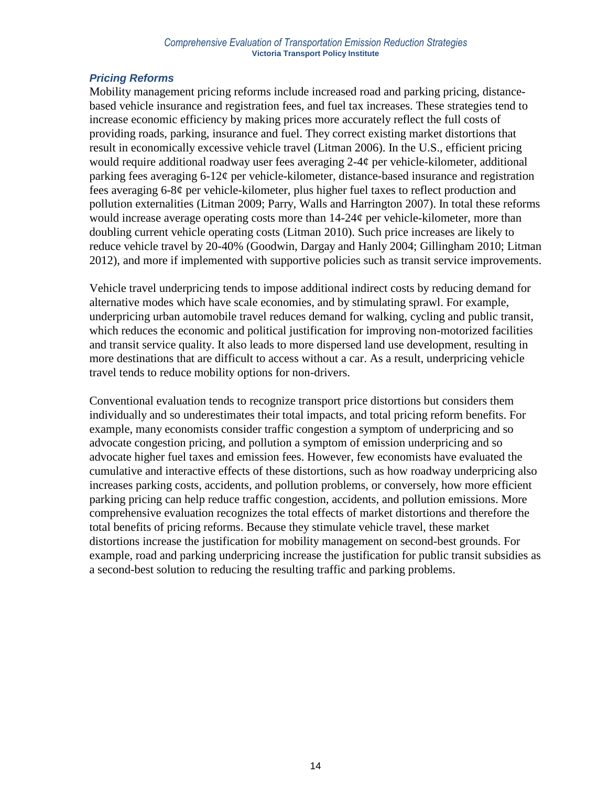## *Pricing Reforms*

Mobility management pricing reforms include increased road and parking pricing, distancebased vehicle insurance and registration fees, and fuel tax increases. These strategies tend to increase economic efficiency by making prices more accurately reflect the full costs of providing roads, parking, insurance and fuel. They correct existing market distortions that result in economically excessive vehicle travel (Litman 2006). In the U.S., efficient pricing would require additional roadway user fees averaging 2-4¢ per vehicle-kilometer, additional parking fees averaging 6-12¢ per vehicle-kilometer, distance-based insurance and registration fees averaging 6-8¢ per vehicle-kilometer, plus higher fuel taxes to reflect production and pollution externalities (Litman 2009; Parry, Walls and Harrington 2007). In total these reforms would increase average operating costs more than 14-24¢ per vehicle-kilometer, more than doubling current vehicle operating costs (Litman 2010). Such price increases are likely to reduce vehicle travel by 20-40% (Goodwin, Dargay and Hanly 2004; Gillingham 2010; Litman 2012), and more if implemented with supportive policies such as transit service improvements.

Vehicle travel underpricing tends to impose additional indirect costs by reducing demand for alternative modes which have scale economies, and by stimulating sprawl. For example, underpricing urban automobile travel reduces demand for walking, cycling and public transit, which reduces the economic and political justification for improving non-motorized facilities and transit service quality. It also leads to more dispersed land use development, resulting in more destinations that are difficult to access without a car. As a result, underpricing vehicle travel tends to reduce mobility options for non-drivers.

Conventional evaluation tends to recognize transport price distortions but considers them individually and so underestimates their total impacts, and total pricing reform benefits. For example, many economists consider traffic congestion a symptom of underpricing and so advocate congestion pricing, and pollution a symptom of emission underpricing and so advocate higher fuel taxes and emission fees. However, few economists have evaluated the cumulative and interactive effects of these distortions, such as how roadway underpricing also increases parking costs, accidents, and pollution problems, or conversely, how more efficient parking pricing can help reduce traffic congestion, accidents, and pollution emissions. More comprehensive evaluation recognizes the total effects of market distortions and therefore the total benefits of pricing reforms. Because they stimulate vehicle travel, these market distortions increase the justification for mobility management on second-best grounds. For example, road and parking underpricing increase the justification for public transit subsidies as a second-best solution to reducing the resulting traffic and parking problems.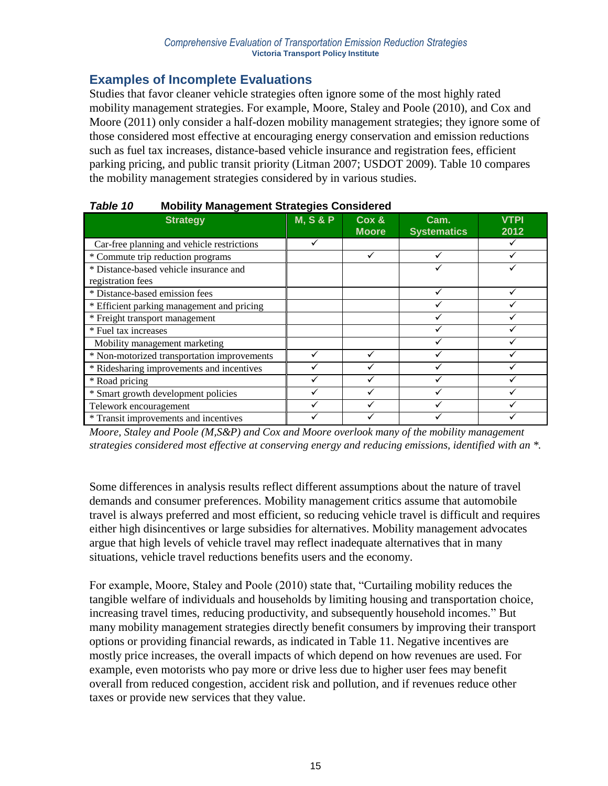# **Examples of Incomplete Evaluations**

Studies that favor cleaner vehicle strategies often ignore some of the most highly rated mobility management strategies. For example, Moore, Staley and Poole (2010), and Cox and Moore (2011) only consider a half-dozen mobility management strategies; they ignore some of those considered most effective at encouraging energy conservation and emission reductions such as fuel tax increases, distance-based vehicle insurance and registration fees, efficient parking pricing, and public transit priority (Litman 2007; USDOT 2009). Table 10 compares the mobility management strategies considered by in various studies.

| <b>Strategy</b>                             | <b>M, S &amp; P</b> | Cox &<br><b>Moore</b> | Cam.<br><b>Systematics</b> | <b>VTPI</b><br>2012 |
|---------------------------------------------|---------------------|-----------------------|----------------------------|---------------------|
| Car-free planning and vehicle restrictions  |                     |                       |                            |                     |
| * Commute trip reduction programs           |                     |                       |                            |                     |
| * Distance-based vehicle insurance and      |                     |                       |                            |                     |
| registration fees                           |                     |                       |                            |                     |
| * Distance-based emission fees              |                     |                       |                            |                     |
| * Efficient parking management and pricing  |                     |                       |                            |                     |
| * Freight transport management              |                     |                       |                            |                     |
| * Fuel tax increases                        |                     |                       |                            |                     |
| Mobility management marketing               |                     |                       |                            |                     |
| * Non-motorized transportation improvements |                     |                       |                            |                     |
| * Ridesharing improvements and incentives   |                     |                       |                            |                     |
| * Road pricing                              |                     |                       |                            |                     |
| * Smart growth development policies         |                     |                       |                            |                     |
| Telework encouragement                      |                     |                       |                            |                     |
| * Transit improvements and incentives       |                     |                       |                            |                     |

## *Table 10* **Mobility Management Strategies Considered**

*Moore, Staley and Poole (M,S&P) and Cox and Moore overlook many of the mobility management strategies considered most effective at conserving energy and reducing emissions, identified with an \*.*

Some differences in analysis results reflect different assumptions about the nature of travel demands and consumer preferences. Mobility management critics assume that automobile travel is always preferred and most efficient, so reducing vehicle travel is difficult and requires either high disincentives or large subsidies for alternatives. Mobility management advocates argue that high levels of vehicle travel may reflect inadequate alternatives that in many situations, vehicle travel reductions benefits users and the economy.

For example, Moore, Staley and Poole (2010) state that, "Curtailing mobility reduces the tangible welfare of individuals and households by limiting housing and transportation choice, increasing travel times, reducing productivity, and subsequently household incomes." But many mobility management strategies directly benefit consumers by improving their transport options or providing financial rewards, as indicated in Table 11. Negative incentives are mostly price increases, the overall impacts of which depend on how revenues are used. For example, even motorists who pay more or drive less due to higher user fees may benefit overall from reduced congestion, accident risk and pollution, and if revenues reduce other taxes or provide new services that they value.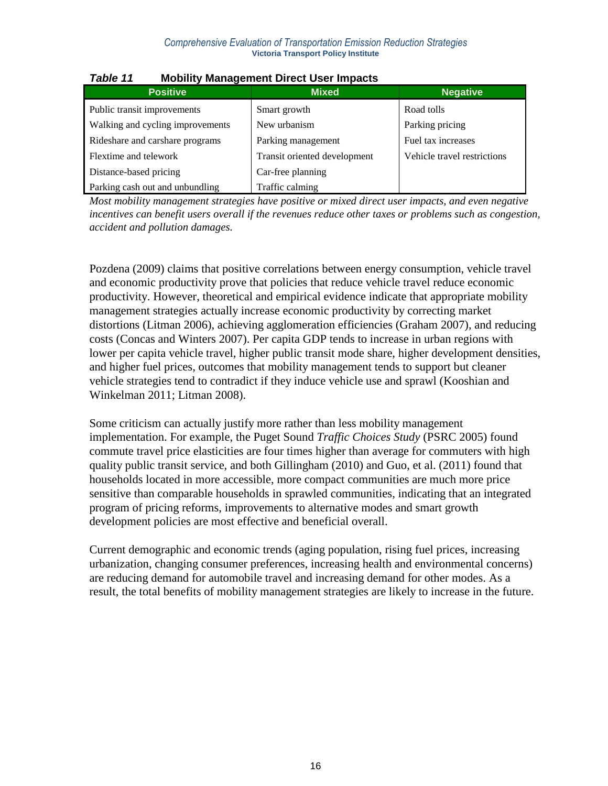| <b>Positive</b>                  | <b>Mixed</b>                 | <b>Negative</b>             |  |  |
|----------------------------------|------------------------------|-----------------------------|--|--|
| Public transit improvements      | Smart growth                 | Road tolls                  |  |  |
| Walking and cycling improvements | New urbanism                 | Parking pricing             |  |  |
| Rideshare and carshare programs  | Parking management           | Fuel tax increases          |  |  |
| Flextime and telework            | Transit oriented development | Vehicle travel restrictions |  |  |
| Distance-based pricing           | Car-free planning            |                             |  |  |
| Parking cash out and unbundling  | Traffic calming              |                             |  |  |

## *Table 11* **Mobility Management Direct User Impacts**

*Most mobility management strategies have positive or mixed direct user impacts, and even negative incentives can benefit users overall if the revenues reduce other taxes or problems such as congestion, accident and pollution damages.*

Pozdena (2009) claims that positive correlations between energy consumption, vehicle travel and economic productivity prove that policies that reduce vehicle travel reduce economic productivity. However, theoretical and empirical evidence indicate that appropriate mobility management strategies actually increase economic productivity by correcting market distortions (Litman 2006), achieving agglomeration efficiencies (Graham 2007), and reducing costs (Concas and Winters 2007). Per capita GDP tends to increase in urban regions with lower per capita vehicle travel, higher public transit mode share, higher development densities, and higher fuel prices, outcomes that mobility management tends to support but cleaner vehicle strategies tend to contradict if they induce vehicle use and sprawl (Kooshian and Winkelman 2011; Litman 2008).

Some criticism can actually justify more rather than less mobility management implementation. For example, the Puget Sound *Traffic Choices Study* (PSRC 2005) found commute travel price elasticities are four times higher than average for commuters with high quality public transit service, and both Gillingham (2010) and Guo, et al. (2011) found that households located in more accessible, more compact communities are much more price sensitive than comparable households in sprawled communities, indicating that an integrated program of pricing reforms, improvements to alternative modes and smart growth development policies are most effective and beneficial overall.

Current demographic and economic trends (aging population, rising fuel prices, increasing urbanization, changing consumer preferences, increasing health and environmental concerns) are reducing demand for automobile travel and increasing demand for other modes. As a result, the total benefits of mobility management strategies are likely to increase in the future.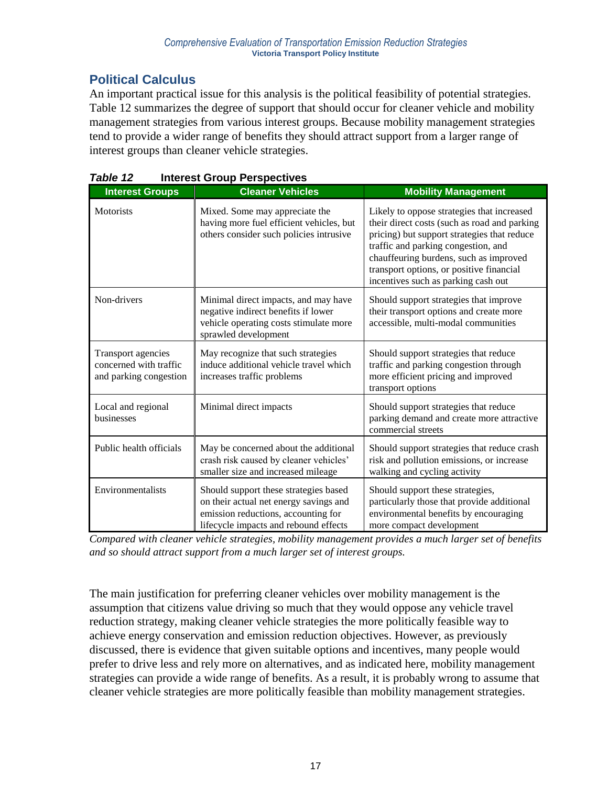# **Political Calculus**

An important practical issue for this analysis is the political feasibility of potential strategies. Table 12 summarizes the degree of support that should occur for cleaner vehicle and mobility management strategies from various interest groups. Because mobility management strategies tend to provide a wider range of benefits they should attract support from a larger range of interest groups than cleaner vehicle strategies.

| <b>Interest Groups</b>                                                 | <b>Cleaner Vehicles</b>                                                                                                                                         | <b>Mobility Management</b>                                                                                                                                                                                                                                                                                    |
|------------------------------------------------------------------------|-----------------------------------------------------------------------------------------------------------------------------------------------------------------|---------------------------------------------------------------------------------------------------------------------------------------------------------------------------------------------------------------------------------------------------------------------------------------------------------------|
| Motorists                                                              | Mixed. Some may appreciate the<br>having more fuel efficient vehicles, but<br>others consider such policies intrusive                                           | Likely to oppose strategies that increased<br>their direct costs (such as road and parking<br>pricing) but support strategies that reduce<br>traffic and parking congestion, and<br>chauffeuring burdens, such as improved<br>transport options, or positive financial<br>incentives such as parking cash out |
| Non-drivers                                                            | Minimal direct impacts, and may have<br>negative indirect benefits if lower<br>vehicle operating costs stimulate more<br>sprawled development                   | Should support strategies that improve<br>their transport options and create more<br>accessible, multi-modal communities                                                                                                                                                                                      |
| Transport agencies<br>concerned with traffic<br>and parking congestion | May recognize that such strategies<br>induce additional vehicle travel which<br>increases traffic problems                                                      | Should support strategies that reduce<br>traffic and parking congestion through<br>more efficient pricing and improved<br>transport options                                                                                                                                                                   |
| Local and regional<br>businesses                                       | Minimal direct impacts                                                                                                                                          | Should support strategies that reduce<br>parking demand and create more attractive<br>commercial streets                                                                                                                                                                                                      |
| Public health officials                                                | May be concerned about the additional<br>crash risk caused by cleaner vehicles'<br>smaller size and increased mileage                                           | Should support strategies that reduce crash<br>risk and pollution emissions, or increase<br>walking and cycling activity                                                                                                                                                                                      |
| Environmentalists                                                      | Should support these strategies based<br>on their actual net energy savings and<br>emission reductions, accounting for<br>lifecycle impacts and rebound effects | Should support these strategies,<br>particularly those that provide additional<br>environmental benefits by encouraging<br>more compact development                                                                                                                                                           |

| Table 12 | <b>Interest Group Perspectives</b> |  |
|----------|------------------------------------|--|
|          |                                    |  |

*Compared with cleaner vehicle strategies, mobility management provides a much larger set of benefits and so should attract support from a much larger set of interest groups.*

The main justification for preferring cleaner vehicles over mobility management is the assumption that citizens value driving so much that they would oppose any vehicle travel reduction strategy, making cleaner vehicle strategies the more politically feasible way to achieve energy conservation and emission reduction objectives. However, as previously discussed, there is evidence that given suitable options and incentives, many people would prefer to drive less and rely more on alternatives, and as indicated here, mobility management strategies can provide a wide range of benefits. As a result, it is probably wrong to assume that cleaner vehicle strategies are more politically feasible than mobility management strategies.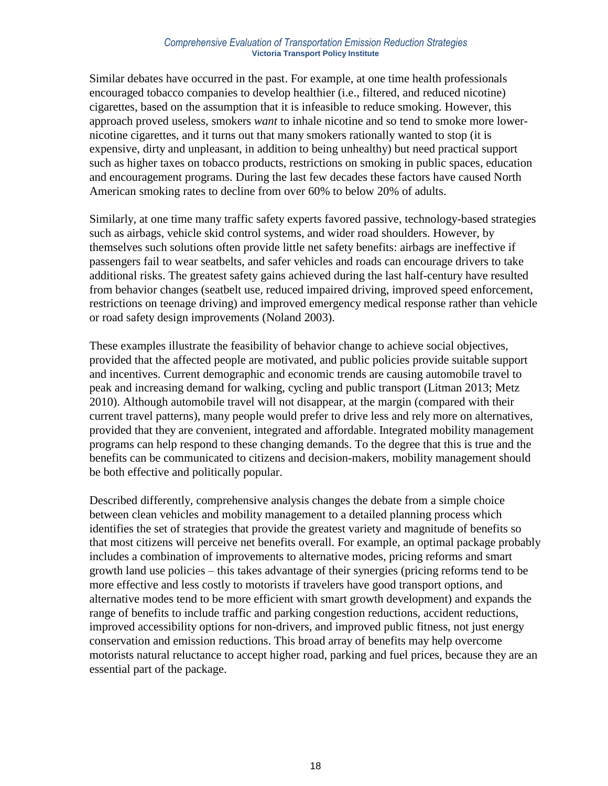#### *Comprehensive Evaluation of Transportation Emission Reduction Strategies* **Victoria Transport Policy Institute**

Similar debates have occurred in the past. For example, at one time health professionals encouraged tobacco companies to develop healthier (i.e., filtered, and reduced nicotine) cigarettes, based on the assumption that it is infeasible to reduce smoking. However, this approach proved useless, smokers *want* to inhale nicotine and so tend to smoke more lowernicotine cigarettes, and it turns out that many smokers rationally wanted to stop (it is expensive, dirty and unpleasant, in addition to being unhealthy) but need practical support such as higher taxes on tobacco products, restrictions on smoking in public spaces, education and encouragement programs. During the last few decades these factors have caused North American smoking rates to decline from over 60% to below 20% of adults.

Similarly, at one time many traffic safety experts favored passive, technology-based strategies such as airbags, vehicle skid control systems, and wider road shoulders. However, by themselves such solutions often provide little net safety benefits: airbags are ineffective if passengers fail to wear seatbelts, and safer vehicles and roads can encourage drivers to take additional risks. The greatest safety gains achieved during the last half-century have resulted from behavior changes (seatbelt use, reduced impaired driving, improved speed enforcement, restrictions on teenage driving) and improved emergency medical response rather than vehicle or road safety design improvements (Noland 2003).

These examples illustrate the feasibility of behavior change to achieve social objectives, provided that the affected people are motivated, and public policies provide suitable support and incentives. Current demographic and economic trends are causing automobile travel to peak and increasing demand for walking, cycling and public transport (Litman 2013; Metz 2010). Although automobile travel will not disappear, at the margin (compared with their current travel patterns), many people would prefer to drive less and rely more on alternatives, provided that they are convenient, integrated and affordable. Integrated mobility management programs can help respond to these changing demands. To the degree that this is true and the benefits can be communicated to citizens and decision-makers, mobility management should be both effective and politically popular.

Described differently, comprehensive analysis changes the debate from a simple choice between clean vehicles and mobility management to a detailed planning process which identifies the set of strategies that provide the greatest variety and magnitude of benefits so that most citizens will perceive net benefits overall. For example, an optimal package probably includes a combination of improvements to alternative modes, pricing reforms and smart growth land use policies – this takes advantage of their synergies (pricing reforms tend to be more effective and less costly to motorists if travelers have good transport options, and alternative modes tend to be more efficient with smart growth development) and expands the range of benefits to include traffic and parking congestion reductions, accident reductions, improved accessibility options for non-drivers, and improved public fitness, not just energy conservation and emission reductions. This broad array of benefits may help overcome motorists natural reluctance to accept higher road, parking and fuel prices, because they are an essential part of the package.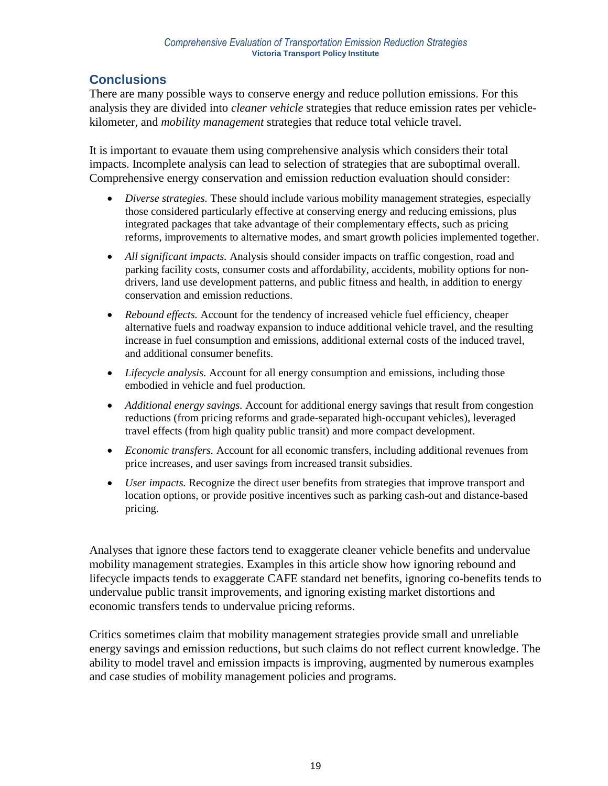# **Conclusions**

There are many possible ways to conserve energy and reduce pollution emissions. For this analysis they are divided into *cleaner vehicle* strategies that reduce emission rates per vehiclekilometer, and *mobility management* strategies that reduce total vehicle travel.

It is important to evauate them using comprehensive analysis which considers their total impacts. Incomplete analysis can lead to selection of strategies that are suboptimal overall. Comprehensive energy conservation and emission reduction evaluation should consider:

- *Diverse strategies.* These should include various mobility management strategies, especially those considered particularly effective at conserving energy and reducing emissions, plus integrated packages that take advantage of their complementary effects, such as pricing reforms, improvements to alternative modes, and smart growth policies implemented together.
- *All significant impacts.* Analysis should consider impacts on traffic congestion, road and parking facility costs, consumer costs and affordability, accidents, mobility options for nondrivers, land use development patterns, and public fitness and health, in addition to energy conservation and emission reductions.
- *Rebound effects.* Account for the tendency of increased vehicle fuel efficiency, cheaper alternative fuels and roadway expansion to induce additional vehicle travel, and the resulting increase in fuel consumption and emissions, additional external costs of the induced travel, and additional consumer benefits.
- *Lifecycle analysis.* Account for all energy consumption and emissions, including those embodied in vehicle and fuel production.
- *Additional energy savings.* Account for additional energy savings that result from congestion reductions (from pricing reforms and grade-separated high-occupant vehicles), leveraged travel effects (from high quality public transit) and more compact development.
- *Economic transfers.* Account for all economic transfers, including additional revenues from price increases, and user savings from increased transit subsidies.
- *User impacts.* Recognize the direct user benefits from strategies that improve transport and location options, or provide positive incentives such as parking cash-out and distance-based pricing.

Analyses that ignore these factors tend to exaggerate cleaner vehicle benefits and undervalue mobility management strategies. Examples in this article show how ignoring rebound and lifecycle impacts tends to exaggerate CAFE standard net benefits, ignoring co-benefits tends to undervalue public transit improvements, and ignoring existing market distortions and economic transfers tends to undervalue pricing reforms.

Critics sometimes claim that mobility management strategies provide small and unreliable energy savings and emission reductions, but such claims do not reflect current knowledge. The ability to model travel and emission impacts is improving, augmented by numerous examples and case studies of mobility management policies and programs.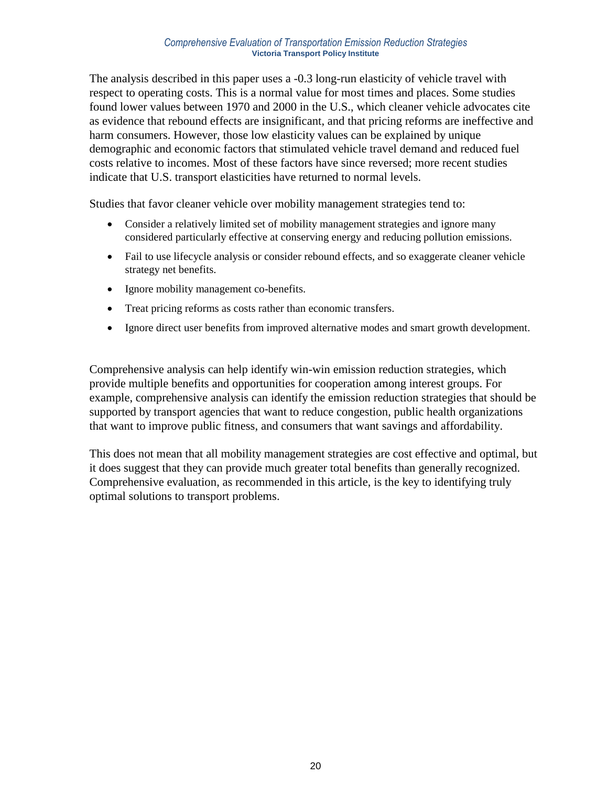#### *Comprehensive Evaluation of Transportation Emission Reduction Strategies* **Victoria Transport Policy Institute**

The analysis described in this paper uses a -0.3 long-run elasticity of vehicle travel with respect to operating costs. This is a normal value for most times and places. Some studies found lower values between 1970 and 2000 in the U.S., which cleaner vehicle advocates cite as evidence that rebound effects are insignificant, and that pricing reforms are ineffective and harm consumers. However, those low elasticity values can be explained by unique demographic and economic factors that stimulated vehicle travel demand and reduced fuel costs relative to incomes. Most of these factors have since reversed; more recent studies indicate that U.S. transport elasticities have returned to normal levels.

Studies that favor cleaner vehicle over mobility management strategies tend to:

- Consider a relatively limited set of mobility management strategies and ignore many considered particularly effective at conserving energy and reducing pollution emissions.
- Fail to use lifecycle analysis or consider rebound effects, and so exaggerate cleaner vehicle strategy net benefits.
- Ignore mobility management co-benefits.
- Treat pricing reforms as costs rather than economic transfers.
- Ignore direct user benefits from improved alternative modes and smart growth development.

Comprehensive analysis can help identify win-win emission reduction strategies, which provide multiple benefits and opportunities for cooperation among interest groups. For example, comprehensive analysis can identify the emission reduction strategies that should be supported by transport agencies that want to reduce congestion, public health organizations that want to improve public fitness, and consumers that want savings and affordability.

This does not mean that all mobility management strategies are cost effective and optimal, but it does suggest that they can provide much greater total benefits than generally recognized. Comprehensive evaluation, as recommended in this article, is the key to identifying truly optimal solutions to transport problems.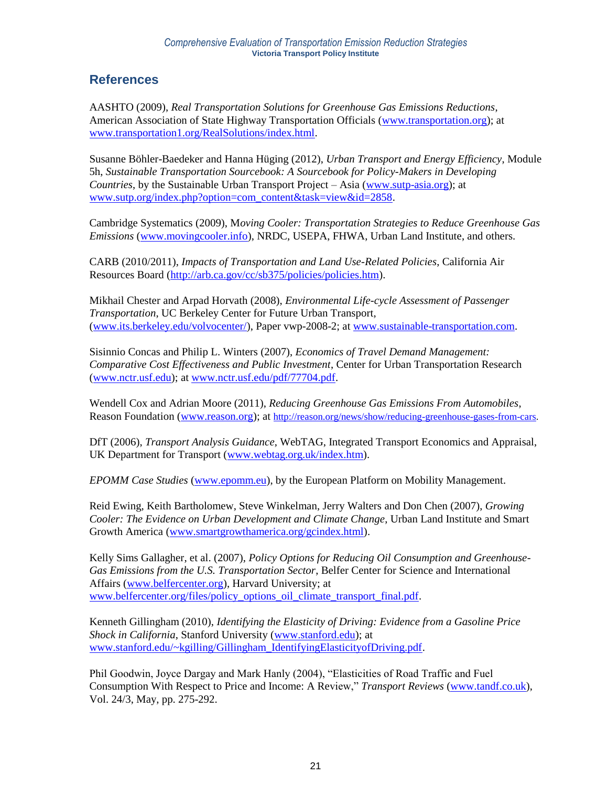## **References**

AASHTO (2009), *Real Transportation Solutions for Greenhouse Gas Emissions Reductions*, American Association of State Highway Transportation Officials [\(www.transportation.org\)](http://www.transportation.org/); at [www.transportation1.org/RealSolutions/index.html.](http://www.transportation1.org/RealSolutions/index.html)

Susanne Böhler-Baedeker and Hanna Hüging (2012), *Urban Transport and Energy Efficiency*, Module 5h, *Sustainable Transportation Sourcebook: A Sourcebook for Policy-Makers in Developing Countries*, by the Sustainable Urban Transport Project – Asia [\(www.sutp-asia.org\)](http://www.sutp-asia.org/); at [www.sutp.org/index.php?option=com\\_content&task=view&id=2858.](http://www.sutp.org/index.php?option=com_content&task=view&id=2858)

Cambridge Systematics (2009), M*oving Cooler: Transportation Strategies to Reduce Greenhouse Gas Emissions* [\(www.movingcooler.info\)](http://www.movingcooler.info/), NRDC, USEPA, FHWA, Urban Land Institute, and others.

CARB (2010/2011), *Impacts of Transportation and Land Use-Related Policies*, California Air Resources Board [\(http://arb.ca.gov/cc/sb375/policies/policies.htm\)](http://arb.ca.gov/cc/sb375/policies/policies.htm).

Mikhail Chester and Arpad Horvath (2008), *Environmental Life-cycle Assessment of Passenger Transportation*, UC Berkeley Center for Future Urban Transport, [\(www.its.berkeley.edu/volvocenter/\)](http://www.its.berkeley.edu/volvocenter/), Paper vwp-2008-2; at [www.sustainable-transportation.com.](http://www.sustainable-transportation.com/)

Sisinnio Concas and Philip L. Winters (2007), *Economics of Travel Demand Management: Comparative Cost Effectiveness and Public Investment*, Center for Urban Transportation Research [\(www.nctr.usf.edu\)](http://www.nctr.usf.edu/); at [www.nctr.usf.edu/pdf/77704.pdf.](http://www.nctr.usf.edu/pdf/77704.pdf)

Wendell Cox and Adrian Moore (2011), *Reducing Greenhouse Gas Emissions From Automobiles*, Reason Foundation [\(www.reason.org\)](http://www.reason.org/); at [http://reason.org/news/show/reducing-greenhouse-gases-from-cars.](http://reason.org/news/show/reducing-greenhouse-gases-from-cars)

DfT (2006), *Transport Analysis Guidance*, WebTAG, Integrated Transport Economics and Appraisal, UK Department for Transport [\(www.webtag.org.uk/index.htm\)](http://www.webtag.org.uk/index.htm).

*EPOMM Case Studies* [\(www.epomm.eu\)](http://www.epomm.eu/), by the European Platform on Mobility Management.

Reid Ewing, Keith Bartholomew, Steve Winkelman, Jerry Walters and Don Chen (2007), *Growing Cooler: The Evidence on Urban Development and Climate Change*, Urban Land Institute and Smart Growth America [\(www.smartgrowthamerica.org/gcindex.html\)](http://www.smartgrowthamerica.org/gcindex.html).

Kelly Sims Gallagher, et al. (2007), *Policy Options for Reducing Oil Consumption and Greenhouse-Gas Emissions from the U.S. Transportation Sector*, Belfer Center for Science and International Affairs [\(www.belfercenter.org\)](http://www.belfercenter.org/), Harvard University; at [www.belfercenter.org/files/policy\\_options\\_oil\\_climate\\_transport\\_final.pdf.](http://www.belfercenter.org/files/policy_options_oil_climate_transport_final.pdf)

Kenneth Gillingham (2010), *Identifying the Elasticity of Driving: Evidence from a Gasoline Price Shock in California*, Stanford University [\(www.stanford.edu\)](http://www.stanford.edu/); at [www.stanford.edu/~kgilling/Gillingham\\_IdentifyingElasticityofDriving.pdf.](http://www.stanford.edu/~kgilling/Gillingham_IdentifyingElasticityofDriving.pdf)

Phil Goodwin, Joyce Dargay and Mark Hanly (2004), "Elasticities of Road Traffic and Fuel Consumption With Respect to Price and Income: A Review," *Transport Reviews* [\(www.tandf.co.uk\)](http://www.tandf.co.uk/), Vol. 24/3, May, pp. 275-292.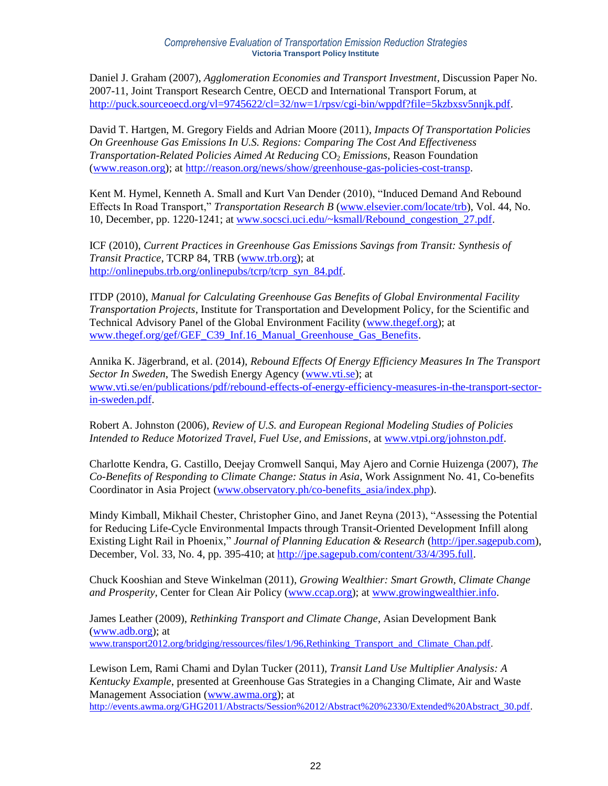Daniel J. Graham (2007), *Agglomeration Economies and Transport Investment*, Discussion Paper No. 2007-11, Joint Transport Research Centre, OECD and International Transport Forum, at [http://puck.sourceoecd.org/vl=9745622/cl=32/nw=1/rpsv/cgi-bin/wppdf?file=5kzbxsv5nnjk.pdf.](http://puck.sourceoecd.org/vl=9745622/cl=32/nw=1/rpsv/cgi-bin/wppdf?file=5kzbxsv5nnjk.pdf)

David T. Hartgen, M. Gregory Fields and Adrian Moore (2011), *Impacts Of Transportation Policies On Greenhouse Gas Emissions In U.S. Regions: Comparing The Cost And Effectiveness Transportation-Related Policies Aimed At Reducing CO<sub>2</sub> <i>Emissions*, Reason Foundation [\(www.reason.org\)](http://www.reason.org/); at [http://reason.org/news/show/greenhouse-gas-policies-cost-transp.](http://reason.org/news/show/greenhouse-gas-policies-cost-transp)

Kent M. Hymel, Kenneth A. Small and Kurt Van Dender (2010), "Induced Demand And Rebound Effects In Road Transport," *Transportation Research B* [\(www.elsevier.com/locate/trb\)](http://www.elsevier.com/locate/trb), Vol. 44, No. 10, December, pp. 1220-1241; at [www.socsci.uci.edu/~ksmall/Rebound\\_congestion\\_27.pdf.](http://www.socsci.uci.edu/~ksmall/Rebound_congestion_27.pdf)

ICF (2010), *Current Practices in Greenhouse Gas Emissions Savings from Transit: Synthesis of Transit Practice*, TCRP 84, TRB [\(www.trb.org\)](http://www.trb.org/); at [http://onlinepubs.trb.org/onlinepubs/tcrp/tcrp\\_syn\\_84.pdf.](http://onlinepubs.trb.org/onlinepubs/tcrp/tcrp_syn_84.pdf)

ITDP (2010), *Manual for Calculating Greenhouse Gas Benefits of Global Environmental Facility Transportation Projects*, Institute for Transportation and Development Policy, for the Scientific and Technical Advisory Panel of the Global Environment Facility [\(www.thegef.org\)](http://www.thegef.org/); at [www.thegef.org/gef/GEF\\_C39\\_Inf.16\\_Manual\\_Greenhouse\\_Gas\\_Benefits.](http://www.thegef.org/gef/GEF_C39_Inf.16_Manual_Greenhouse_Gas_Benefits)

Annika K. Jägerbrand, et al. (2014), *Rebound Effects Of Energy Efficiency Measures In The Transport Sector In Sweden*, The Swedish Energy Agency [\(www.vti.se\)](http://www.vti.se/); at [www.vti.se/en/publications/pdf/rebound-effects-of-energy-efficiency-measures-in-the-transport-sector](http://www.vti.se/en/publications/pdf/rebound-effects-of-energy-efficiency-measures-in-the-transport-sector-in-sweden.pdf)[in-sweden.pdf.](http://www.vti.se/en/publications/pdf/rebound-effects-of-energy-efficiency-measures-in-the-transport-sector-in-sweden.pdf)

Robert A. Johnston (2006), *Review of U.S. and European Regional Modeling Studies of Policies Intended to Reduce Motorized Travel, Fuel Use, and Emissions*, at [www.vtpi.org/johnston.pdf.](http://www.vtpi.org/johnston.pdf)

Charlotte Kendra, G. Castillo, Deejay Cromwell Sanqui, May Ajero and Cornie Huizenga (2007), *The Co-Benefits of Responding to Climate Change: Status in Asia*, Work Assignment No. 41, Co-benefits Coordinator in Asia Project (www.observatory.ph/co-benefits asia/index.php).

Mindy Kimball, Mikhail Chester, Christopher Gino, and Janet Reyna (2013), "Assessing the Potential for Reducing Life-Cycle Environmental Impacts through Transit-Oriented Development Infill along Existing Light Rail in Phoenix," *Journal of Planning Education & Research* [\(http://jper.sagepub.com\)](http://jper.sagepub.com/), December, Vol. 33, No. 4, pp. 395-410; at [http://jpe.sagepub.com/content/33/4/395.full.](http://jpe.sagepub.com/content/33/4/395.full)

Chuck Kooshian and Steve Winkelman (2011), *Growing Wealthier: Smart Growth, Climate Change and Prosperity*, Center for Clean Air Policy [\(www.ccap.org\)](http://www.ccap.org/); at [www.growingwealthier.info.](http://www.growingwealthier.info/)

James Leather (2009), *Rethinking Transport and Climate Change*, Asian Development Bank [\(www.adb.org\)](http://www.adb.org/); at [www.transport2012.org/bridging/ressources/files/1/96,Rethinking\\_Transport\\_and\\_Climate\\_Chan.pdf.](http://www.transport2012.org/bridging/ressources/files/1/96,Rethinking_Transport_and_Climate_Chan.pdf)

Lewison Lem, Rami Chami and Dylan Tucker (2011), *Transit Land Use Multiplier Analysis: A Kentucky Example*, presented at Greenhouse Gas Strategies in a Changing Climate, Air and Waste Management Association [\(www.awma.org\)](http://www.awma.org/); at [http://events.awma.org/GHG2011/Abstracts/Session%2012/Abstract%20%2330/Extended%20Abstract\\_30.pdf.](http://events.awma.org/GHG2011/Abstracts/Session%2012/Abstract%20%2330/Extended%20Abstract_30.pdf)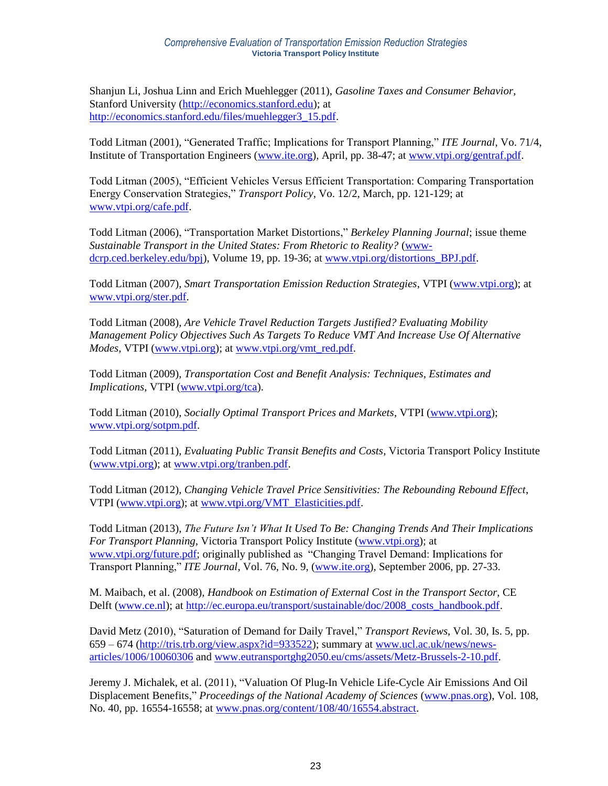Shanjun Li, Joshua Linn and Erich Muehlegger (2011), *Gasoline Taxes and Consumer Behavior*, Stanford University [\(http://economics.stanford.edu\)](http://economics.stanford.edu/); at [http://economics.stanford.edu/files/muehlegger3\\_15.pdf.](http://economics.stanford.edu/files/muehlegger3_15.pdf)

Todd Litman (2001), "Generated Traffic; Implications for Transport Planning," *ITE Journal*, Vo. 71/4, Institute of Transportation Engineers [\(www.ite.org\)](http://www.ite.org/), April, pp. 38-47; at [www.vtpi.org/gentraf.pdf.](http://www.vtpi.org/gentraf.pdf)

Todd Litman (2005), "Efficient Vehicles Versus Efficient Transportation: Comparing Transportation Energy Conservation Strategies," *Transport Policy*, Vo. 12/2, March, pp. 121-129; at [www.vtpi.org/cafe.pdf.](http://www.vtpi.org/cafe.pdf)

Todd Litman (2006), "Transportation Market Distortions," *Berkeley Planning Journal*; issue theme *Sustainable Transport in the United States: From Rhetoric to Reality?* [\(www](http://www-dcrp.ced.berkeley.edu/bpj)[dcrp.ced.berkeley.edu/bpj\)](http://www-dcrp.ced.berkeley.edu/bpj), Volume 19, pp. 19-36; at [www.vtpi.org/distortions\\_BPJ.pdf.](http://www.vtpi.org/distortions_BPJ.pdf)

Todd Litman (2007), *Smart Transportation Emission Reduction Strategies*, VTPI [\(www.vtpi.org\)](http://www.vtpi.org/); at [www.vtpi.org/ster.pdf.](http://www.vtpi.org/ster.pdf)

Todd Litman (2008), *Are Vehicle Travel Reduction Targets Justified? Evaluating Mobility Management Policy Objectives Such As Targets To Reduce VMT And Increase Use Of Alternative Modes*, VTPI [\(www.vtpi.org\)](http://www.vtpi.org/); at [www.vtpi.org/vmt\\_red.pdf.](http://www.vtpi.org/vmt_red.pdf)

Todd Litman (2009), *Transportation Cost and Benefit Analysis: Techniques, Estimates and Implications*, VTPI [\(www.vtpi.org/tca\)](http://www.vtpi.org/tca).

Todd Litman (2010), *Socially Optimal Transport Prices and Markets*, VTPI [\(www.vtpi.org\)](http://www.vtpi.org/); [www.vtpi.org/sotpm.pdf.](http://www.vtpi.org/sotpm.pdf)

Todd Litman (2011), *Evaluating Public Transit Benefits and Costs*, Victoria Transport Policy Institute [\(www.vtpi.org\)](http://www.vtpi.org/); at [www.vtpi.org/tranben.pdf.](http://www.vtpi.org/tranben.pdf)

Todd Litman (2012), *Changing Vehicle Travel Price Sensitivities: The Rebounding Rebound Effect*, VTPI [\(www.vtpi.org\)](http://www.vtpi.org/); at [www.vtpi.org/VMT\\_Elasticities.pdf.](http://www.vtpi.org/VMT_Elasticities.pdf)

Todd Litman (2013), *The Future Isn't What It Used To Be: Changing Trends And Their Implications For Transport Planning*, Victoria Transport Policy Institute [\(www.vtpi.org\)](http://www.vtpi.org/); at [www.vtpi.org/future.pdf;](http://www.vtpi.org/future.pdf) originally published as "Changing Travel Demand: Implications for Transport Planning," *ITE Journal*, Vol. 76, No. 9, [\(www.ite.org\)](http://www.ite.org/), September 2006, pp. 27-33.

M. Maibach, et al. (2008), *Handbook on Estimation of External Cost in the Transport Sector,* CE Delft [\(www.ce.nl\)](http://www.ce.nl/); at [http://ec.europa.eu/transport/sustainable/doc/2008\\_costs\\_handbook.pdf.](http://ec.europa.eu/transport/sustainable/doc/2008_costs_handbook.pdf)

David Metz (2010), "Saturation of Demand for Daily Travel," *Transport Reviews*, Vol. 30, Is. 5, pp. 659 – 674 [\(http://tris.trb.org/view.aspx?id=933522\)](http://tris.trb.org/view.aspx?id=933522); summary at [www.ucl.ac.uk/news/news](http://www.ucl.ac.uk/news/news-articles/1006/10060306)[articles/1006/10060306](http://www.ucl.ac.uk/news/news-articles/1006/10060306) and [www.eutransportghg2050.eu/cms/assets/Metz-Brussels-2-10.pdf.](http://www.eutransportghg2050.eu/cms/assets/Metz-Brussels-2-10.pdf)

Jeremy J. Michalek, et al. (2011), "Valuation Of Plug-In Vehicle Life-Cycle Air Emissions And Oil Displacement Benefits," *Proceedings of the National Academy of Sciences* [\(www.pnas.org\)](http://www.pnas.org/), Vol. 108, No. 40, pp. 16554-16558; at [www.pnas.org/content/108/40/16554.abstract.](http://www.pnas.org/content/108/40/16554.abstract)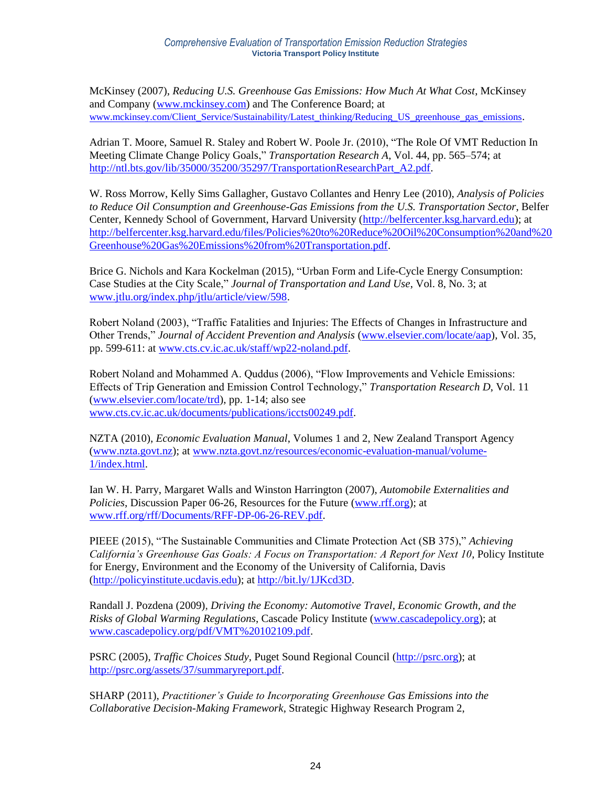McKinsey (2007), *Reducing U.S. Greenhouse Gas Emissions: How Much At What Cost*, McKinsey and Company [\(www.mckinsey.com\)](http://www.mckinsey.com/) and The Conference Board; at [www.mckinsey.com/Client\\_Service/Sustainability/Latest\\_thinking/Reducing\\_US\\_greenhouse\\_gas\\_emissions](http://www.mckinsey.com/Client_Service/Sustainability/Latest_thinking/Reducing_US_greenhouse_gas_emissions).

Adrian T. Moore, Samuel R. Staley and Robert W. Poole Jr. (2010), "The Role Of VMT Reduction In Meeting Climate Change Policy Goals," *Transportation Research A*, Vol. 44, pp. 565–574; at [http://ntl.bts.gov/lib/35000/35200/35297/TransportationResearchPart\\_A2.pdf.](http://ntl.bts.gov/lib/35000/35200/35297/TransportationResearchPart_A2.pdf)

W. Ross Morrow, Kelly Sims Gallagher, Gustavo Collantes and Henry Lee (2010), *Analysis of Policies to Reduce Oil Consumption and Greenhouse-Gas Emissions from the U.S. Transportation Sector*, Belfer Center, Kennedy School of Government, Harvard University [\(http://belfercenter.ksg.harvard.edu\)](http://belfercenter.ksg.harvard.edu/); at [http://belfercenter.ksg.harvard.edu/files/Policies%20to%20Reduce%20Oil%20Consumption%20and%20](http://belfercenter.ksg.harvard.edu/files/Policies%20to%20Reduce%20Oil%20Consumption%20and%20Greenhouse%20Gas%20Emissions%20from%20Transportation.pdf) [Greenhouse%20Gas%20Emissions%20from%20Transportation.pdf.](http://belfercenter.ksg.harvard.edu/files/Policies%20to%20Reduce%20Oil%20Consumption%20and%20Greenhouse%20Gas%20Emissions%20from%20Transportation.pdf)

Brice G. Nichols and Kara Kockelman (2015), "Urban Form and Life-Cycle Energy Consumption: Case Studies at the City Scale," *Journal of Transportation and Land Use*, Vol. 8, No. 3; at [www.jtlu.org/index.php/jtlu/article/view/598.](http://www.jtlu.org/index.php/jtlu/article/view/598)

Robert Noland (2003), "Traffic Fatalities and Injuries: The Effects of Changes in Infrastructure and Other Trends," *Journal of Accident Prevention and Analysis* [\(www.elsevier.com/locate/aap\)](http://www.elsevier.com/locate/aap), Vol. 35, pp. 599-611: at [www.cts.cv.ic.ac.uk/staff/wp22-noland.pdf.](http://www.cts.cv.ic.ac.uk/staff/wp22-noland.pdf)

Robert Noland and Mohammed A. Quddus (2006), "Flow Improvements and Vehicle Emissions: Effects of Trip Generation and Emission Control Technology," *Transportation Research D*, Vol. 11 [\(www.elsevier.com/locate/trd\)](http://www.elsevier.com/locate/trd), pp. 1-14; also see [www.cts.cv.ic.ac.uk/documents/publications/iccts00249.pdf.](http://www.cts.cv.ic.ac.uk/documents/publications/iccts00249.pdf)

NZTA (2010), *Economic Evaluation Manual*, Volumes 1 and 2, New Zealand Transport Agency [\(www.nzta.govt.nz\)](http://www.nzta.govt.nz/); at [www.nzta.govt.nz/resources/economic-evaluation-manual/volume-](http://www.nzta.govt.nz/resources/economic-evaluation-manual/volume-1/index.html)[1/index.html.](http://www.nzta.govt.nz/resources/economic-evaluation-manual/volume-1/index.html)

Ian W. H. Parry, Margaret Walls and Winston Harrington (2007), *Automobile Externalities and Policies*, Discussion Paper 06-26, Resources for the Future [\(www.rff.org\)](http://www.rff.org/); at [www.rff.org/rff/Documents/RFF-DP-06-26-REV.pdf.](http://www.rff.org/rff/Documents/RFF-DP-06-26-REV.pdf)

PIEEE (2015), "The Sustainable Communities and Climate Protection Act (SB 375)," *Achieving California's Greenhouse Gas Goals: A Focus on Transportation: A Report for Next 10*, Policy Institute for Energy, Environment and the Economy of the University of California, Davis [\(http://policyinstitute.ucdavis.edu\)](http://policyinstitute.ucdavis.edu/); at [http://bit.ly/1JKcd3D.](http://bit.ly/1JKcd3D)

Randall J. Pozdena (2009), *Driving the Economy: Automotive Travel, Economic Growth, and the Risks of Global Warming Regulations*, Cascade Policy Institute [\(www.cascadepolicy.org\)](http://www.cascadepolicy.org/); at [www.cascadepolicy.org/pdf/VMT%20102109.pdf.](http://www.cascadepolicy.org/pdf/VMT%20102109.pdf)

PSRC (2005), *Traffic Choices Study*, Puget Sound Regional Council [\(http://psrc.org\)](http://psrc.org/); at [http://psrc.org/assets/37/summaryreport.pdf.](http://psrc.org/assets/37/summaryreport.pdf)

SHARP (2011), *Practitioner's Guide to Incorporating Greenhouse Gas Emissions into the Collaborative Decision-Making Framework*, Strategic Highway Research Program 2,